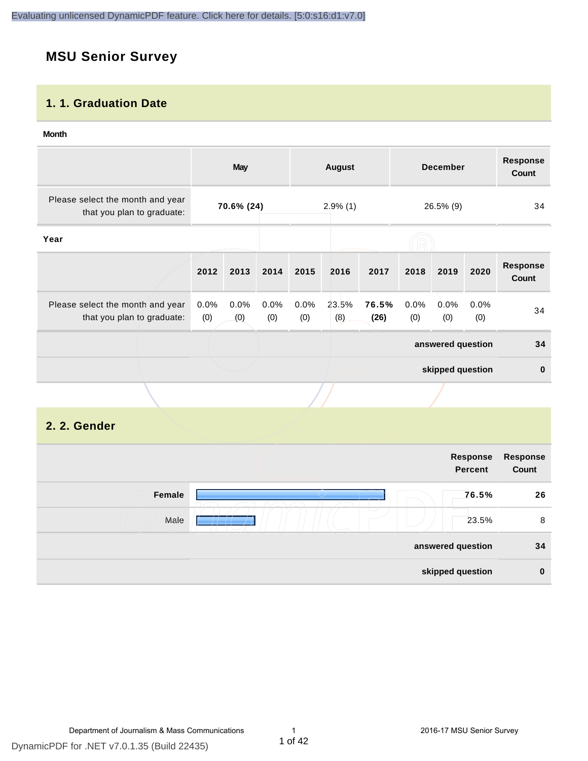# **MSU Senior Survey**

#### **1. 1. Graduation Date**

#### **Month**

|                                                                |                | May                                    |             |             | <b>August</b> |                  |             | <b>December</b>   |             | <b>Response</b><br>Count |
|----------------------------------------------------------------|----------------|----------------------------------------|-------------|-------------|---------------|------------------|-------------|-------------------|-------------|--------------------------|
| Please select the month and year<br>that you plan to graduate: |                | 70.6% (24)<br>$2.9\%$ (1)<br>26.5% (9) |             |             | 34            |                  |             |                   |             |                          |
| Year                                                           |                |                                        |             |             |               |                  |             |                   |             |                          |
|                                                                | 2012           | 2013                                   | 2014        | 2015        | 2016          | 2017             | 2018        | 2019              | 2020        | <b>Response</b><br>Count |
| Please select the month and year<br>that you plan to graduate: | $0.0\%$<br>(0) | 0.0%<br>(0)                            | 0.0%<br>(0) | 0.0%<br>(0) | 23.5%<br>(8)  | 76.5%<br>(26)    | 0.0%<br>(0) | $0.0\%$<br>(0)    | 0.0%<br>(0) | 34                       |
|                                                                |                |                                        |             |             |               |                  |             | answered question |             | 34                       |
|                                                                |                |                                        |             |             |               | skipped question |             | $\mathbf 0$       |             |                          |
|                                                                |                |                                        |             |             |               |                  |             |                   |             |                          |

#### **2. 2. Gender**

|        |                          | Response<br><b>Percent</b> | Response<br>Count |
|--------|--------------------------|----------------------------|-------------------|
| Female |                          | 76.5%                      | 26                |
| Male   | $\overline{\phantom{a}}$ | 23.5%                      | 8                 |
|        |                          | answered question          | 34                |
|        |                          | skipped question           | $\bf{0}$          |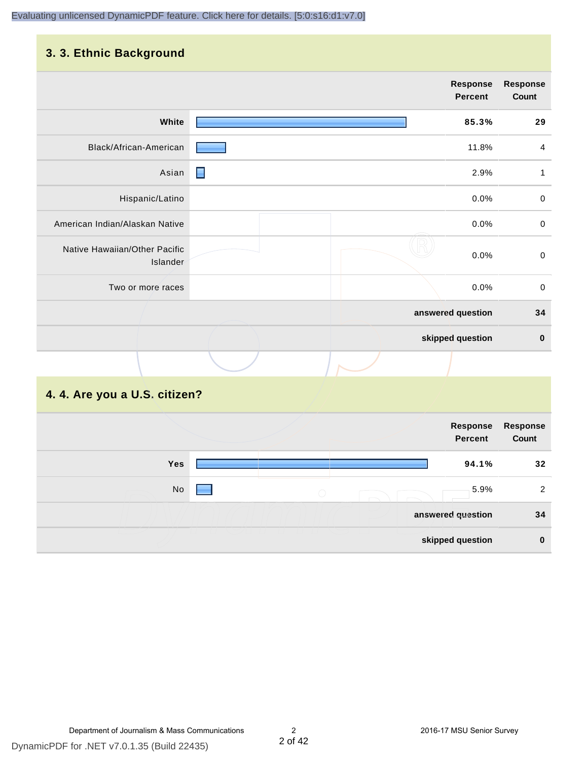## **3. 3. Ethnic Background**

|                                           |                | <b>Response</b><br><b>Percent</b> | <b>Response</b><br>Count |
|-------------------------------------------|----------------|-----------------------------------|--------------------------|
| White                                     |                | 85.3%                             | 29                       |
| Black/African-American                    |                | 11.8%                             | $\overline{4}$           |
| Asian                                     | $\blacksquare$ | 2.9%                              | $\mathbf{1}$             |
| Hispanic/Latino                           |                | 0.0%                              | $\mathsf 0$              |
| American Indian/Alaskan Native            |                | 0.0%                              | $\mathsf 0$              |
| Native Hawaiian/Other Pacific<br>Islander |                | 0.0%                              | $\mbox{O}$               |
| Two or more races                         |                | 0.0%                              | $\mathsf 0$              |
|                                           |                | answered question                 | 34                       |
|                                           |                | skipped question                  | $\pmb{0}$                |
|                                           |                |                                   |                          |

# **4. 4. Are you a U.S. citizen?**

|     |                                             |                   | Response<br><b>Percent</b> | <b>Response</b><br>Count |
|-----|---------------------------------------------|-------------------|----------------------------|--------------------------|
| Yes |                                             |                   | 94.1%                      | 32                       |
| No  | $\left(\begin{array}{c} \end{array}\right)$ |                   | 5.9%                       | 2                        |
|     |                                             | answered question |                            | 34                       |
|     |                                             | skipped question  |                            | $\bf{0}$                 |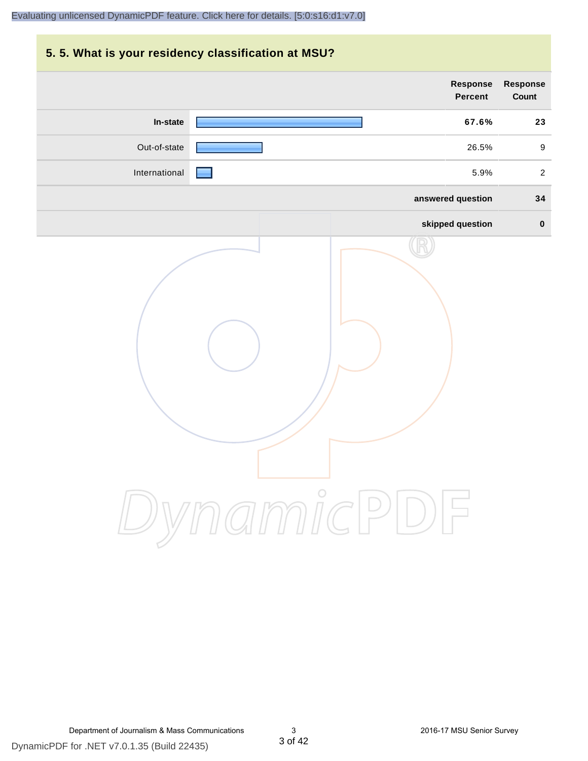# **5. 5. What is your residency classification at MSU? Response Response Percent Count In-state 67.6% 23** Out-of-state **26.5%** 9 International 5.9% 2 **answered question 34 skipped question 0** DynamicPDF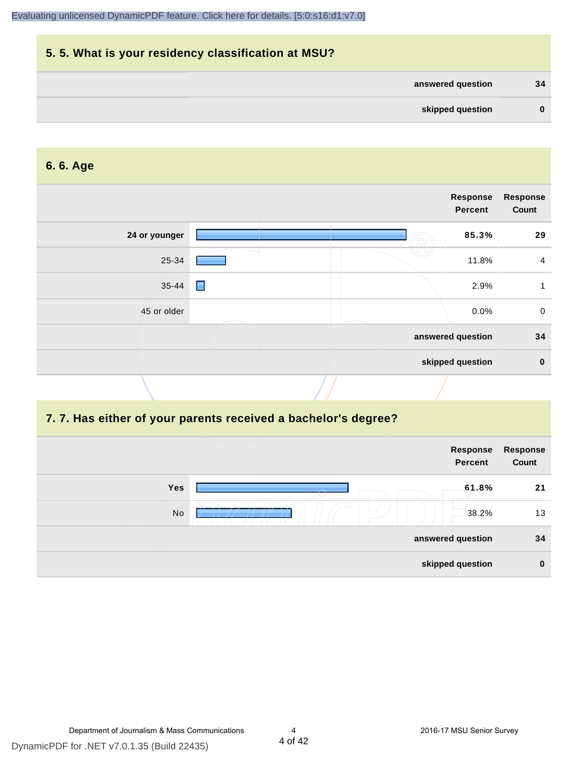| 5.5. What is your residency classification at MSU? |          |
|----------------------------------------------------|----------|
| answered question                                  | 34       |
| skipped question                                   | $\bf{0}$ |

#### **6. 6. Age**

|               |                | Response<br>Percent | <b>Response</b><br>Count |
|---------------|----------------|---------------------|--------------------------|
| 24 or younger |                | 85.3%               | 29                       |
| 25-34         |                | 11.8%               | 4                        |
| 35-44         | $\blacksquare$ | 2.9%                |                          |
| 45 or older   |                | 0.0%                | $\mathbf 0$              |
|               |                | answered question   | 34                       |
|               |                | skipped question    | $\mathbf 0$              |

#### **7. 7. Has either of your parents received a bachelor's degree?**

|     | Response<br><b>Percent</b> | Response<br>Count |
|-----|----------------------------|-------------------|
| Yes | 61.8%                      | 21                |
| No  | 38.2%                      | 13                |
|     | answered question          | 34                |
|     | skipped question           | $\bf{0}$          |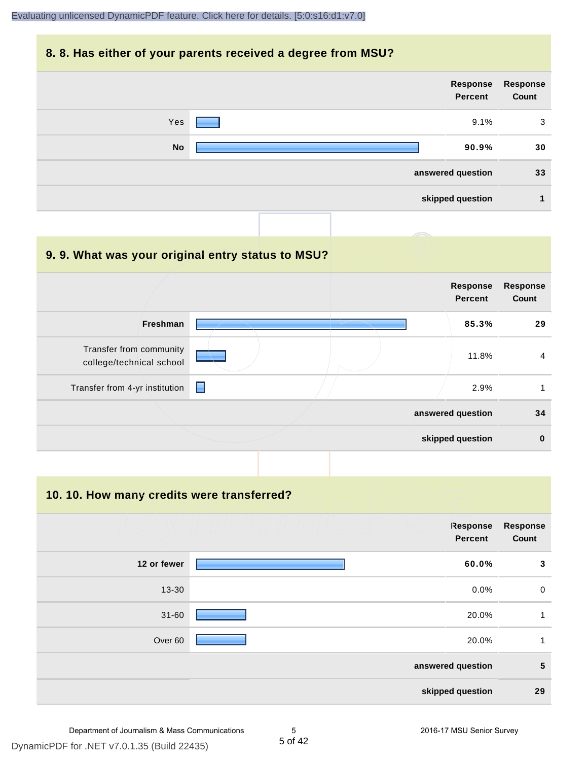#### **8. 8. Has either of your parents received a degree from MSU?**



| 9.9. What was your original entry status to MSU?    |                |                                   |                          |
|-----------------------------------------------------|----------------|-----------------------------------|--------------------------|
|                                                     |                | <b>Response</b><br><b>Percent</b> | <b>Response</b><br>Count |
| <b>Freshman</b>                                     |                | 85.3%                             | 29                       |
| Transfer from community<br>college/technical school |                | 11.8%                             | $\overline{4}$           |
| Transfer from 4-yr institution                      | $\blacksquare$ | 2.9%                              | 1                        |
|                                                     |                | answered question                 | 34                       |
|                                                     |                | skipped question                  | $\bf{0}$                 |

#### **10. 10. How many credits were transferred?**

|             | Response<br><b>Percent</b> | <b>Response</b><br>Count |
|-------------|----------------------------|--------------------------|
| 12 or fewer | 60.0%                      | 3                        |
| 13-30       | 0.0%                       | $\mathbf 0$              |
| $31 - 60$   | 20.0%                      | 1                        |
| Over 60     | 20.0%                      | 1                        |
|             | answered question          | 5                        |
|             | skipped question           | 29                       |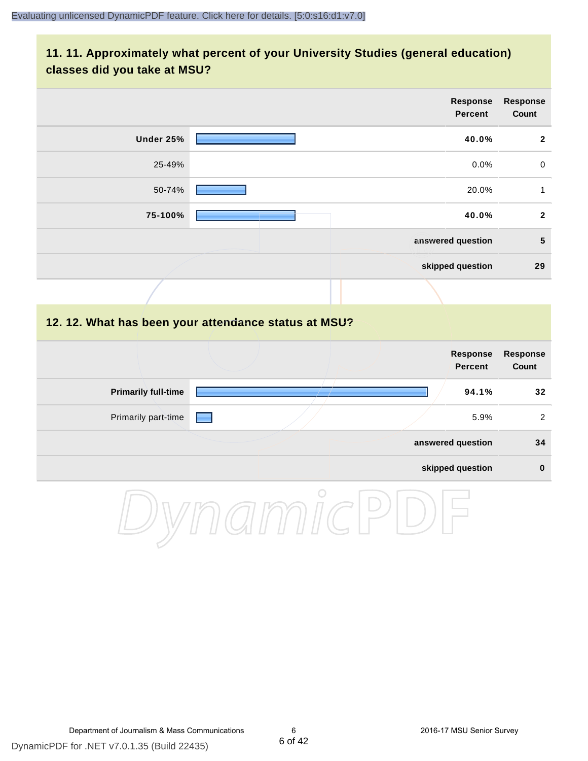## **11. 11. Approximately what percent of your University Studies (general education) classes did you take at MSU?**

|                            | Response<br><b>Percent</b>                           | Response<br>Count        |
|----------------------------|------------------------------------------------------|--------------------------|
| Under 25%                  | 40.0%                                                | $\boldsymbol{2}$         |
| 25-49%                     | 0.0%                                                 | $\pmb{0}$                |
| 50-74%                     | 20.0%                                                | $\mathbf{1}$             |
| 75-100%                    | 40.0%                                                | $\mathbf{2}$             |
|                            | answered question                                    | $5\phantom{1}$           |
|                            | skipped question                                     | 29                       |
|                            |                                                      |                          |
|                            | 12. 12. What has been your attendance status at MSU? |                          |
|                            | <b>Response</b><br><b>Percent</b>                    | <b>Response</b><br>Count |
| <b>Primarily full-time</b> | 94.1%                                                | 32                       |
| Primarily part-time        | 5.9%                                                 | $\sqrt{2}$               |
|                            | answered question                                    | 34                       |
|                            | skipped question                                     | $\pmb{0}$                |
|                            | $\bigcirc$                                           |                          |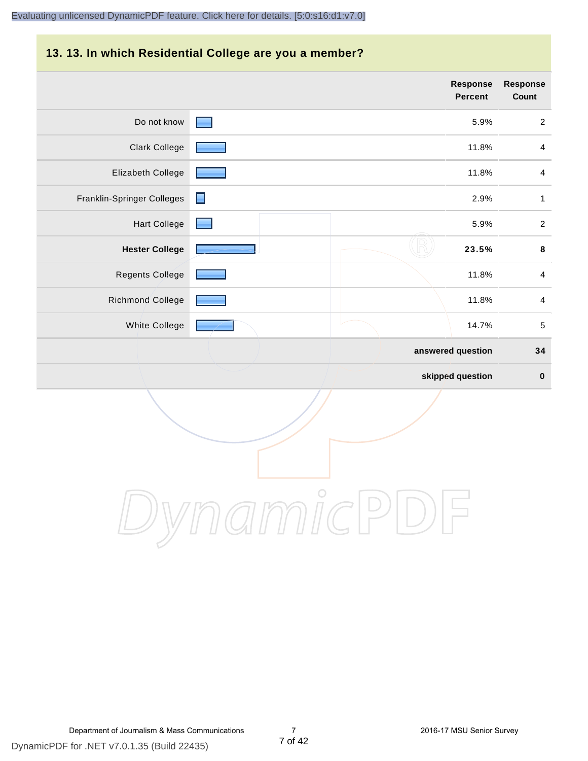# **13. 13. In which Residential College are you a member?**

|                            |                | <b>Response</b><br><b>Percent</b> | <b>Response</b><br>Count |
|----------------------------|----------------|-----------------------------------|--------------------------|
| Do not know                | <b>START</b>   | 5.9%                              | $\overline{2}$           |
| <b>Clark College</b>       |                | 11.8%                             | $\overline{4}$           |
| Elizabeth College          |                | 11.8%                             | $\overline{4}$           |
| Franklin-Springer Colleges | $\blacksquare$ | 2.9%                              | $\mathbf{1}$             |
| <b>Hart College</b>        |                | 5.9%                              | $\sqrt{2}$               |
| <b>Hester College</b>      |                | 23.5%                             | $\pmb{8}$                |
| Regents College            |                | 11.8%                             | $\overline{4}$           |
| Richmond College           |                | 11.8%                             | $\overline{4}$           |
| White College              |                | 14.7%                             | $\sqrt{5}$               |
|                            |                | answered question                 | 34                       |
|                            |                | skipped question                  | $\pmb{0}$                |

DynamicPDF

Department of Journalism & Mass Communications 7 2016-17 MSU Senior Survey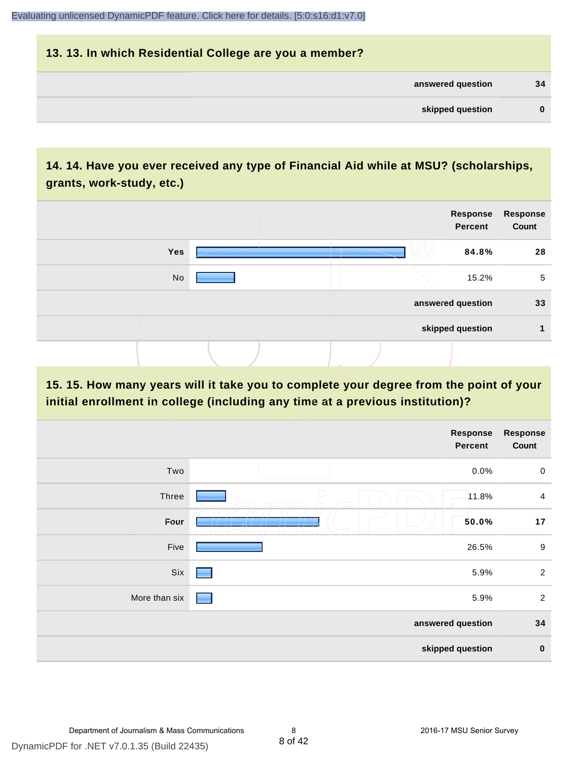| 13. 13. In which Residential College are you a member? |          |
|--------------------------------------------------------|----------|
| answered question                                      | 34       |
| skipped question                                       | $\bf{0}$ |

# **14. 14. Have you ever received any type of Financial Aid while at MSU? (scholarships, grants, work-study, etc.)**



**15. 15. How many years will it take you to complete your degree from the point of your initial enrollment in college (including any time at a previous institution)?**

|               | <b>Response</b><br>Percent | <b>Response</b><br>Count |
|---------------|----------------------------|--------------------------|
| Two           | 0.0%                       | $\mathsf{O}$             |
| Three         | $\bigcirc$<br>11.8%        | $\overline{4}$           |
| Four          | 50.0%                      | 17                       |
| Five          | 26.5%                      | $\boldsymbol{9}$         |
| Six           | 5.9%<br>٠                  | $\overline{2}$           |
| More than six | 5.9%                       | $\overline{2}$           |
|               | answered question          | 34                       |
|               | skipped question           | $\pmb{0}$                |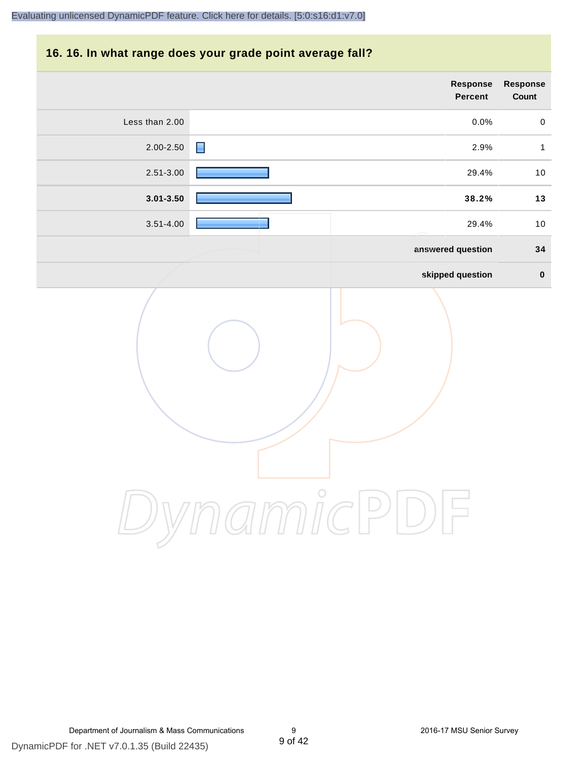### **16. 16. In what range does your grade point average fall?**

|                | Response<br>Percent | Response<br>Count   |
|----------------|---------------------|---------------------|
| Less than 2.00 | 0.0%                | $\mathsf{O}\xspace$ |
| 2.00-2.50      | 2.9%<br>н           | $\mathbf{1}$        |
| $2.51 - 3.00$  | 29.4%               | $10$                |
| $3.01 - 3.50$  | 38.2%               | $13$                |
| $3.51 - 4.00$  | 29.4%               | $10$                |
|                | answered question   | 34                  |
|                | skipped question    | $\pmb{0}$           |
|                | amicP               |                     |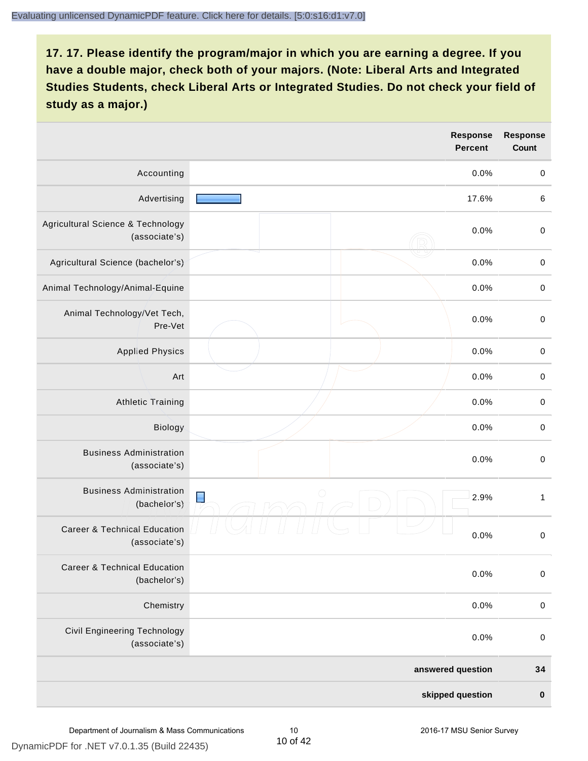|                                                          |                   | <b>Response</b><br><b>Percent</b> | <b>Response</b><br>Count |
|----------------------------------------------------------|-------------------|-----------------------------------|--------------------------|
| Accounting                                               |                   | 0.0%                              | $\mathbf 0$              |
| Advertising                                              |                   | 17.6%                             | 6                        |
| Agricultural Science & Technology<br>(associate's)       |                   | 0.0%                              | $\,0\,$                  |
| Agricultural Science (bachelor's)                        |                   | 0.0%                              | $\mathbf 0$              |
| Animal Technology/Animal-Equine                          |                   | 0.0%                              | $\mathbf 0$              |
| Animal Technology/Vet Tech,<br>Pre-Vet                   |                   | 0.0%                              | $\mathbf 0$              |
| <b>Applied Physics</b>                                   |                   | 0.0%                              | $\pmb{0}$                |
| Art                                                      |                   | 0.0%                              | $\mathbf 0$              |
| <b>Athletic Training</b>                                 |                   | 0.0%                              | $\mathbf 0$              |
| Biology                                                  |                   | 0.0%                              | $\mbox{O}$               |
| <b>Business Administration</b><br>(associate's)          |                   | 0.0%                              | $\,0\,$                  |
| <b>Business Administration</b><br>(bachelor's)           | $\blacksquare$    | 2.9%                              | $\mathbf{1}$             |
| <b>Career &amp; Technical Education</b><br>(associate's) |                   | 0.0%                              | $\mathsf{O}\xspace$      |
| <b>Career &amp; Technical Education</b><br>(bachelor's)  |                   | 0.0%                              | $\mathbf 0$              |
| Chemistry                                                |                   | 0.0%                              | $\mathbf 0$              |
| <b>Civil Engineering Technology</b><br>(associate's)     |                   | 0.0%                              | $\mathbf 0$              |
|                                                          | answered question |                                   | 34                       |
|                                                          |                   | skipped question                  | $\pmb{0}$                |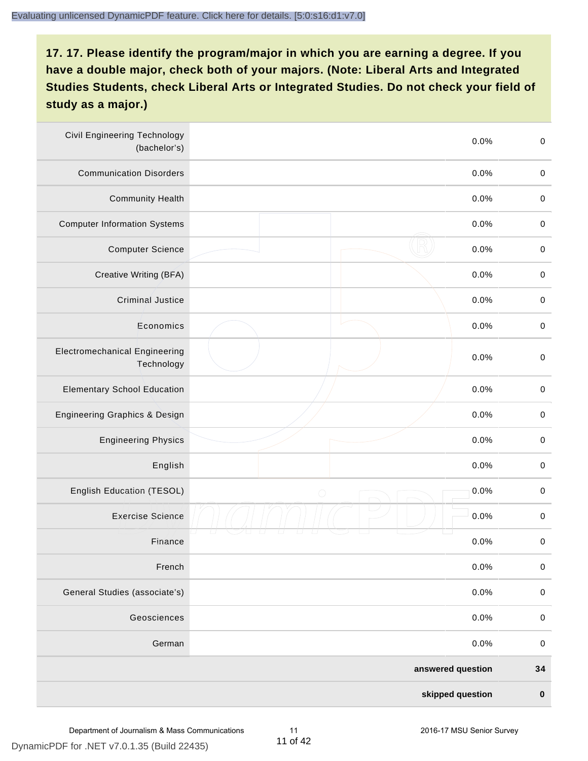| <b>Civil Engineering Technology</b><br>(bachelor's) | 0.0%               | $\mbox{O}$       |
|-----------------------------------------------------|--------------------|------------------|
| <b>Communication Disorders</b>                      | 0.0%               | $\mathbf 0$      |
| <b>Community Health</b>                             | 0.0%               | $\,0\,$          |
| <b>Computer Information Systems</b>                 | 0.0%               | $\,0\,$          |
| <b>Computer Science</b>                             | 0.0%               | $\mathbf 0$      |
| Creative Writing (BFA)                              | 0.0%               | $\mathbf 0$      |
| <b>Criminal Justice</b>                             | 0.0%               | $\mathbf 0$      |
| Economics                                           | 0.0%               | $\,0\,$          |
| <b>Electromechanical Engineering</b><br>Technology  | 0.0%               | $\pmb{0}$        |
| <b>Elementary School Education</b>                  | 0.0%               | $\mathbf 0$      |
| <b>Engineering Graphics &amp; Design</b>            | 0.0%               | $\pmb{0}$        |
| <b>Engineering Physics</b>                          | 0.0%               | $\pmb{0}$        |
| English                                             | 0.0%               | $\pmb{0}$        |
| English Education (TESOL)                           | 0.0%<br>$\bigcirc$ | $\mathbf 0$      |
| <b>Exercise Science</b>                             | 0.0%               | $\pmb{0}$        |
| Finance                                             | 0.0%               | $\,0\,$          |
| French                                              | 0.0%               | $\pmb{0}$        |
| General Studies (associate's)                       | 0.0%               | $\boldsymbol{0}$ |
| Geosciences                                         | 0.0%               | $\mathbf 0$      |
| German                                              | 0.0%               | $\mathbf 0$      |
|                                                     | answered question  | 34               |
|                                                     | skipped question   | $\pmb{0}$        |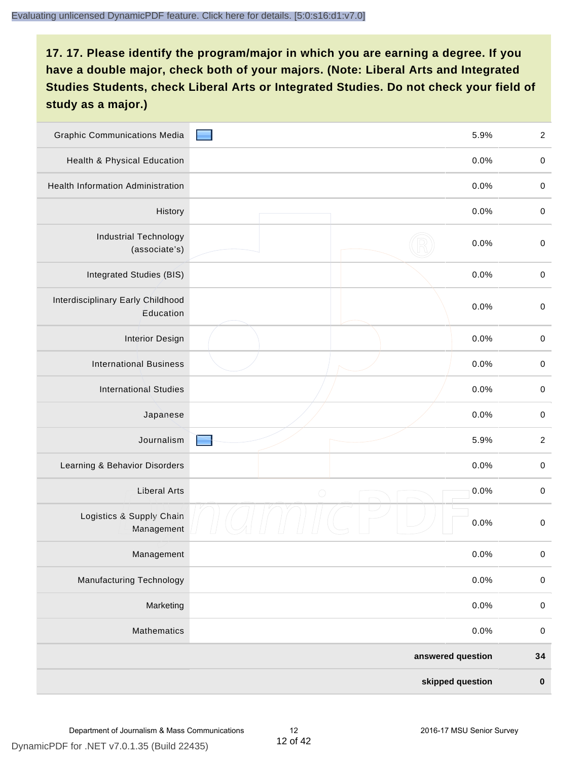| <b>Graphic Communications Media</b>            | 5.9%               | $\boldsymbol{2}$ |
|------------------------------------------------|--------------------|------------------|
| <b>Health &amp; Physical Education</b>         | 0.0%               | $\mathbf 0$      |
| <b>Health Information Administration</b>       | 0.0%               | $\pmb{0}$        |
| History                                        | 0.0%               | $\pmb{0}$        |
| <b>Industrial Technology</b><br>(associate's)  | 0.0%               | $\mathbf 0$      |
| Integrated Studies (BIS)                       | 0.0%               | $\mathbf 0$      |
| Interdisciplinary Early Childhood<br>Education | 0.0%               | $\mathbf 0$      |
| <b>Interior Design</b>                         | 0.0%               | $\mathbf 0$      |
| <b>International Business</b>                  | 0.0%               | $\pmb{0}$        |
| <b>International Studies</b>                   | 0.0%               | $\mathbf 0$      |
| Japanese                                       | 0.0%               | $\pmb{0}$        |
| Journalism                                     | 5.9%               | $\sqrt{2}$       |
| Learning & Behavior Disorders                  | 0.0%               | $\pmb{0}$        |
| <b>Liberal Arts</b>                            | 0.0%<br>$\bigcirc$ | $\mathbf 0$      |
| Logistics & Supply Chain<br>Management         | 0.0%               | $\mathbf 0$      |
| Management                                     | 0.0%               | $\pmb{0}$        |
| <b>Manufacturing Technology</b>                | 0.0%               | $\mathbf 0$      |
| Marketing                                      | 0.0%               | $\mathbf 0$      |
| Mathematics                                    | 0.0%               | $\,0\,$          |
|                                                | answered question  | 34               |
|                                                | skipped question   | $\pmb{0}$        |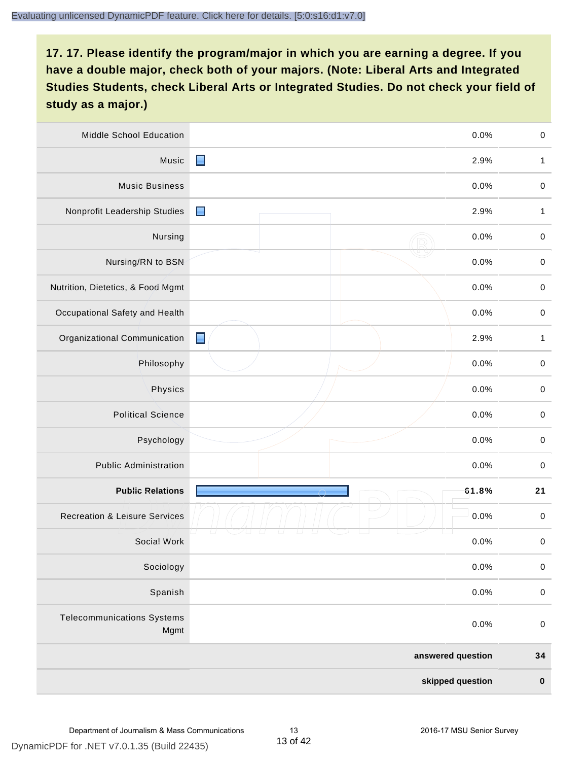| <b>Middle School Education</b>            |                | 0.0%              | $\mathbf 0$  |
|-------------------------------------------|----------------|-------------------|--------------|
| Music                                     | $\blacksquare$ | 2.9%              | $\mathbf{1}$ |
| <b>Music Business</b>                     |                | 0.0%              | $\mathbf 0$  |
| Nonprofit Leadership Studies              | $\blacksquare$ | 2.9%              | $\mathbf{1}$ |
| Nursing                                   |                | 0.0%              | $\pmb{0}$    |
| Nursing/RN to BSN                         |                | 0.0%              | $\,0\,$      |
| Nutrition, Dietetics, & Food Mgmt         |                | 0.0%              | $\pmb{0}$    |
| Occupational Safety and Health            |                | 0.0%              | $\mathbf 0$  |
| Organizational Communication              | $\blacksquare$ | 2.9%              | $\mathbf{1}$ |
| Philosophy                                |                | 0.0%              | $\pmb{0}$    |
| Physics                                   |                | 0.0%              | $\pmb{0}$    |
| <b>Political Science</b>                  |                | 0.0%              | $\pmb{0}$    |
| Psychology                                |                | 0.0%              | $\pmb{0}$    |
| <b>Public Administration</b>              |                | 0.0%              | $\mathbf 0$  |
| <b>Public Relations</b>                   |                | 61.8%             | 21           |
| <b>Recreation &amp; Leisure Services</b>  |                | 0.0%              | 0            |
| Social Work                               |                | 0.0%              | $\pmb{0}$    |
| Sociology                                 |                | 0.0%              | $\mathbf 0$  |
| Spanish                                   |                | 0.0%              | $\pmb{0}$    |
| <b>Telecommunications Systems</b><br>Mgmt |                | 0.0%              | $\mathbf 0$  |
|                                           |                | answered question | 34           |
|                                           |                | skipped question  | $\pmb{0}$    |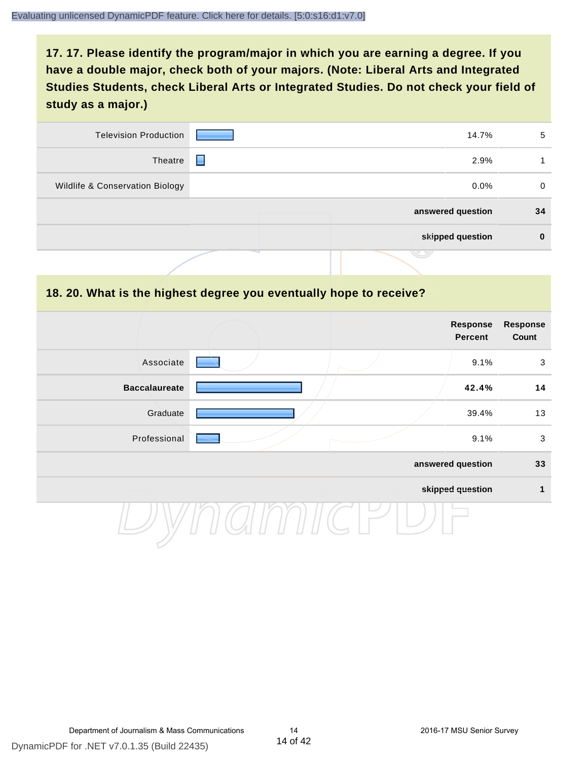| <b>Television Production</b>    | 14.7%             | 5        |
|---------------------------------|-------------------|----------|
| Theatre                         | 2.9%<br>н         |          |
| Wildlife & Conservation Biology | $0.0\%$           | $\Omega$ |
|                                 | answered question | 34       |
|                                 | skipped question  | $\bf{0}$ |
|                                 | マン                |          |

#### **18. 20. What is the highest degree you eventually hope to receive?**

|                      | Response<br>Percent | <b>Response</b><br>Count |
|----------------------|---------------------|--------------------------|
| Associate            | 9.1%                | $\mathbf{3}$             |
| <b>Baccalaureate</b> | 42.4%               | 14                       |
| Graduate             | 39.4%               | 13                       |
| Professional         | 9.1%                | $\mathbf{3}$             |
|                      | answered question   | 33                       |
|                      | skipped question    | 1                        |
|                      |                     |                          |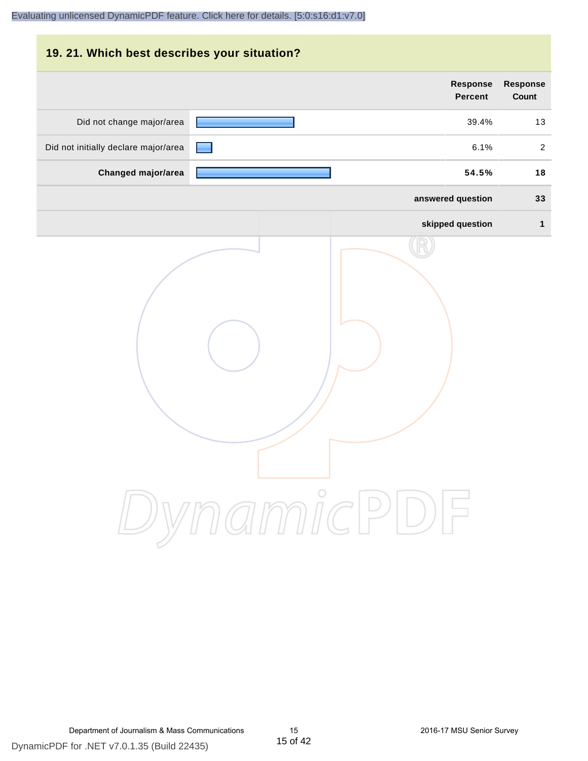# **19. 21. Which best describes your situation? Response Response Percent Count** Did not change major/area **13** and 2012 13 and 2012 13 and 2012 13 and 2012 13 and 2012 13 and 2012 13 and 2012 13 and 2012 13 and 2012 13 and 2012 13 and 2012 13 and 2012 13 and 2012 13 and 2012 13 and 2012 13 and 2012 13 Did not initially declare major/area **6.1%** 2 **Changed major/area 54.5% 18 answered question 33 skipped question 1** DynamicPDF

Department of Journalism & Mass Communications 15 2016-17 MSU Senior Survey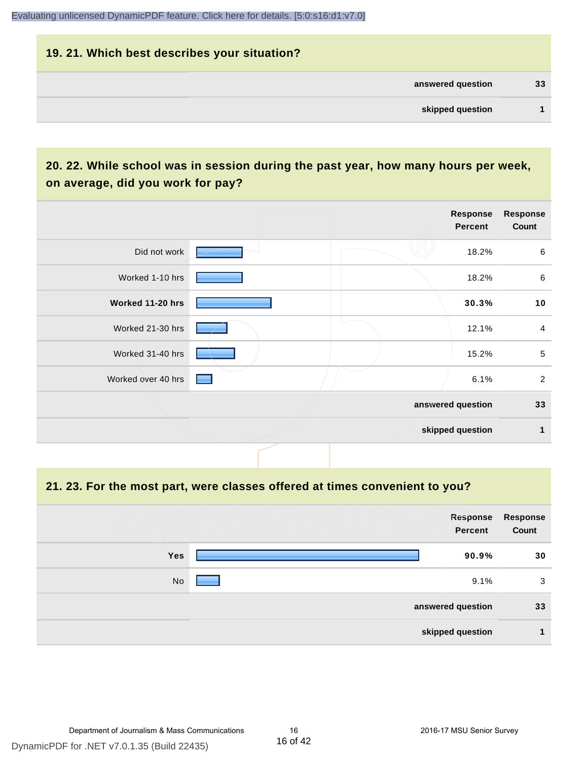# **19. 21. Which best describes your situation? answered question 33 skipped question 1**

# **20. 22. While school was in session during the past year, how many hours per week, on average, did you work for pay?**

|                    |  | Response<br><b>Percent</b> | <b>Response</b><br>Count |
|--------------------|--|----------------------------|--------------------------|
| Did not work       |  | 18.2%                      | 6                        |
| Worked 1-10 hrs    |  | 18.2%                      | $\,6\,$                  |
| Worked 11-20 hrs   |  | 30.3%                      | 10                       |
| Worked 21-30 hrs   |  | 12.1%                      | $\overline{4}$           |
| Worked 31-40 hrs   |  | 15.2%                      | $\sqrt{5}$               |
| Worked over 40 hrs |  | 6.1%                       | $\sqrt{2}$               |
|                    |  | answered question          | 33                       |
|                    |  | skipped question           | 1                        |

#### **21. 23. For the most part, were classes offered at times convenient to you?**

|            | Response<br><b>Percent</b> | Response<br>Count |
|------------|----------------------------|-------------------|
| <b>Yes</b> | 90.9%                      | 30                |
| No         | 9.1%                       | 3                 |
|            | answered question          | 33                |
|            | skipped question           |                   |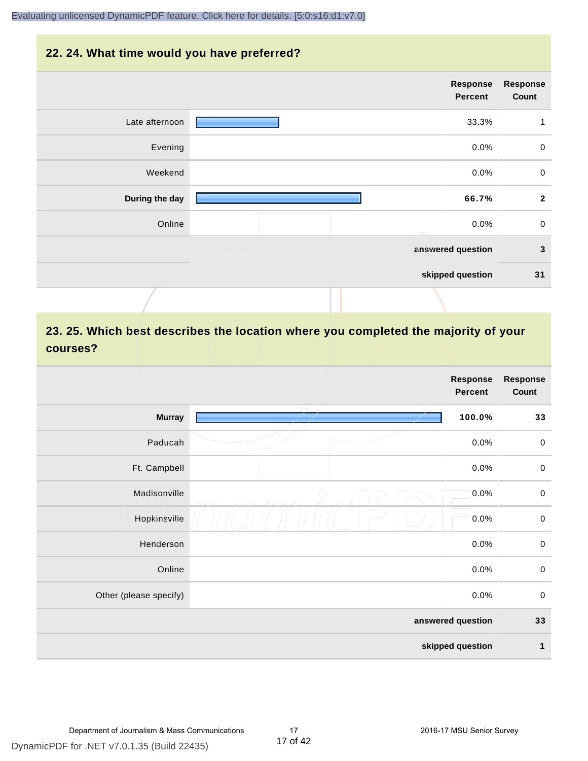#### **22. 24. What time would you have preferred?**

|                | Response<br><b>Percent</b> | <b>Response</b><br>Count |
|----------------|----------------------------|--------------------------|
| Late afternoon | 33.3%                      | $\mathbf{1}$             |
| Evening        | 0.0%                       | $\mathbf 0$              |
| Weekend        | 0.0%                       | $\pmb{0}$                |
| During the day | 66.7%                      | $\overline{\mathbf{2}}$  |
| Online         | 0.0%                       | $\mathbf 0$              |
|                | answered question          | $\mathbf{3}$             |
|                | skipped question           | 31                       |
|                |                            |                          |

# **23. 25. Which best describes the location where you completed the majority of your courses?**

|                        |            | <b>Response</b><br>Percent | <b>Response</b><br>Count |
|------------------------|------------|----------------------------|--------------------------|
| <b>Murray</b>          |            | 100.0%                     | 33                       |
| Paducah                |            | 0.0%                       | $\pmb{0}$                |
| Ft. Campbell           |            | 0.0%                       | $\pmb{0}$                |
| Madisonville           | $\bigcirc$ | 0.0%                       | $\mathbf 0$              |
| Hopkinsville           |            | 0.0%                       | $\pmb{0}$                |
| Henderson              |            | 0.0%                       | $\,0\,$                  |
| Online                 |            | 0.0%                       | $\pmb{0}$                |
| Other (please specify) |            | 0.0%                       | $\mathbf 0$              |
|                        |            | answered question          | 33                       |
|                        |            | skipped question           | 1                        |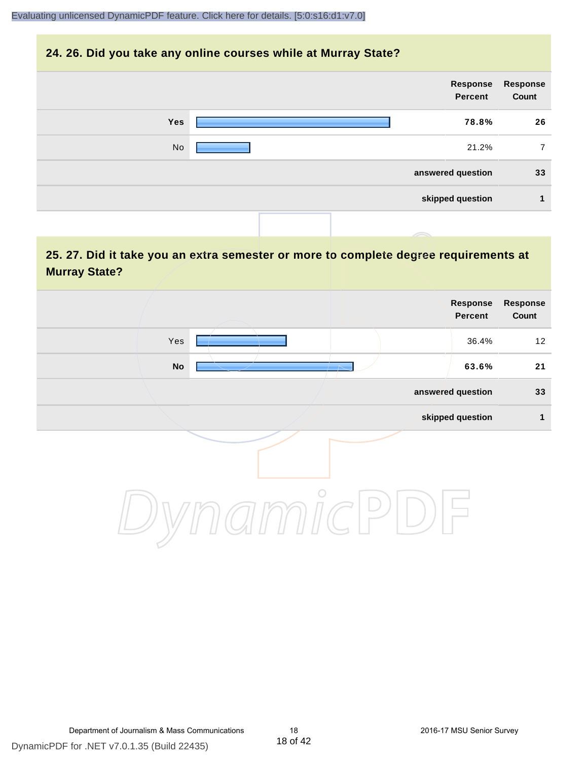#### **24. 26. Did you take any online courses while at Murray State?**

| Response<br>Count | Response<br>Percent |            |
|-------------------|---------------------|------------|
| 26                | 78.8%               | <b>Yes</b> |
| 7                 | 21.2%               | No         |
| 33                | answered question   |            |
| 1                 | skipped question    |            |
|                   |                     |            |

# **25. 27. Did it take you an extra semester or more to complete degree requirements at Murray State?**

| <b>Response</b><br>Count | <b>Response</b><br>Percent |         |                            |  |
|--------------------------|----------------------------|---------|----------------------------|--|
| 12                       | 36.4%                      |         | Yes                        |  |
| 21                       | 63.6%                      |         | $\mathop{\sf No}\nolimits$ |  |
| 33                       | answered question          |         |                            |  |
| $\mathbf{1}$             | skipped question           |         |                            |  |
|                          |                            | $\circ$ |                            |  |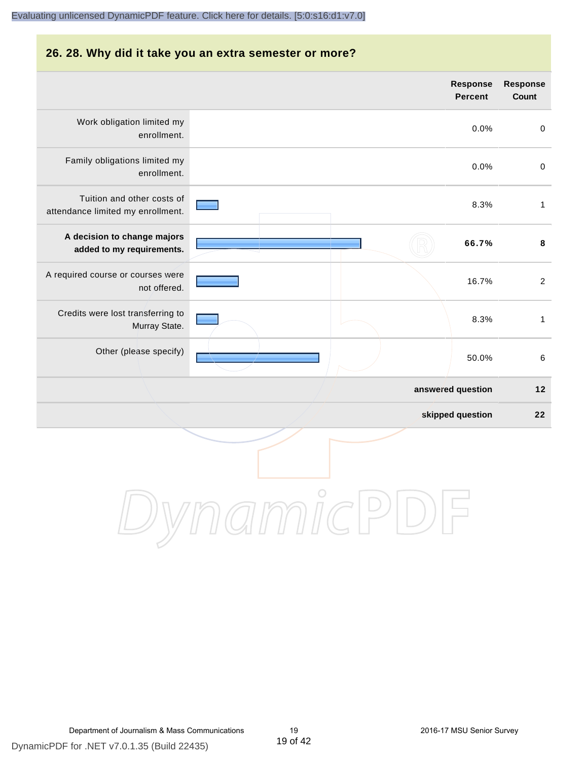#### **26. 28. Why did it take you an extra semester or more?**

|                                                                 | Response<br><b>Percent</b> | Response<br>Count |
|-----------------------------------------------------------------|----------------------------|-------------------|
| Work obligation limited my<br>enrollment.                       | 0.0%                       | $\pmb{0}$         |
| Family obligations limited my<br>enrollment.                    | 0.0%                       | $\pmb{0}$         |
| Tuition and other costs of<br>attendance limited my enrollment. | 8.3%                       | $\mathbf{1}$      |
| A decision to change majors<br>added to my requirements.        | 66.7%                      | $\bf8$            |
| A required course or courses were<br>not offered.               | 16.7%                      | $\overline{2}$    |
| Credits were lost transferring to<br>Murray State.              | 8.3%                       | $\mathbf{1}$      |
| Other (please specify)                                          | 50.0%                      | 6                 |
|                                                                 | answered question          | $12$              |
|                                                                 | skipped question           | 22                |
|                                                                 |                            |                   |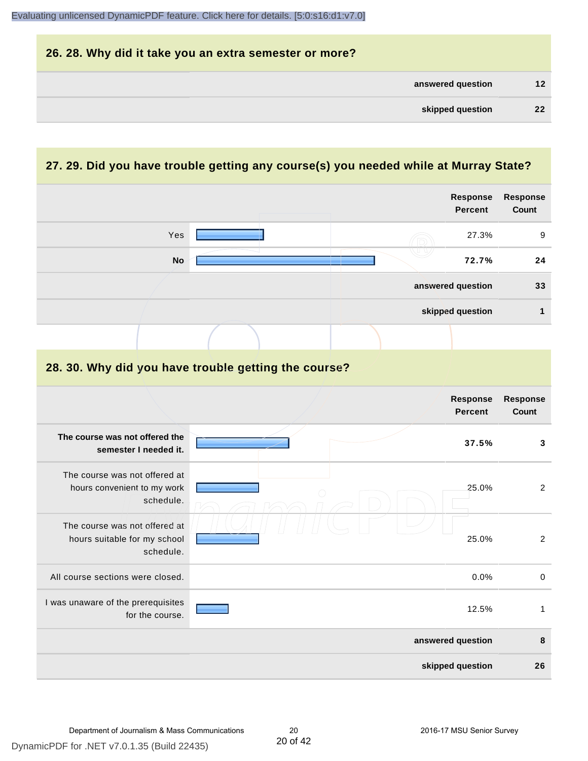| 26. 28. Why did it take you an extra semester or more? |                 |
|--------------------------------------------------------|-----------------|
| answered question                                      | 12 <sup>2</sup> |
| skipped question                                       | 22 <sub>2</sub> |

# **27. 29. Did you have trouble getting any course(s) you needed while at Murray State?**

|                                                                            |                                                      | Response<br><b>Percent</b> | <b>Response</b><br>Count |
|----------------------------------------------------------------------------|------------------------------------------------------|----------------------------|--------------------------|
| Yes                                                                        |                                                      | 27.3%                      | 9                        |
| <b>No</b>                                                                  |                                                      | 72.7%                      | 24                       |
|                                                                            |                                                      | answered question          | 33                       |
|                                                                            |                                                      | skipped question           | $\mathbf{1}$             |
|                                                                            |                                                      |                            |                          |
|                                                                            | 28. 30. Why did you have trouble getting the course? |                            |                          |
|                                                                            |                                                      | Response<br><b>Percent</b> | Response<br>Count        |
| The course was not offered the<br>semester I needed it.                    |                                                      | 37.5%                      | 3                        |
| The course was not offered at<br>hours convenient to my work<br>schedule.  |                                                      | 25.0%                      | $\overline{2}$           |
| The course was not offered at<br>hours suitable for my school<br>schedule. |                                                      | 25.0%                      | $\overline{2}$           |
| All course sections were closed.                                           |                                                      | 0.0%                       | $\pmb{0}$                |
| I was unaware of the prerequisites<br>for the course.                      |                                                      | 12.5%                      | $\mathbf{1}$             |
|                                                                            |                                                      | answered question          | 8                        |
|                                                                            |                                                      | skipped question           | 26                       |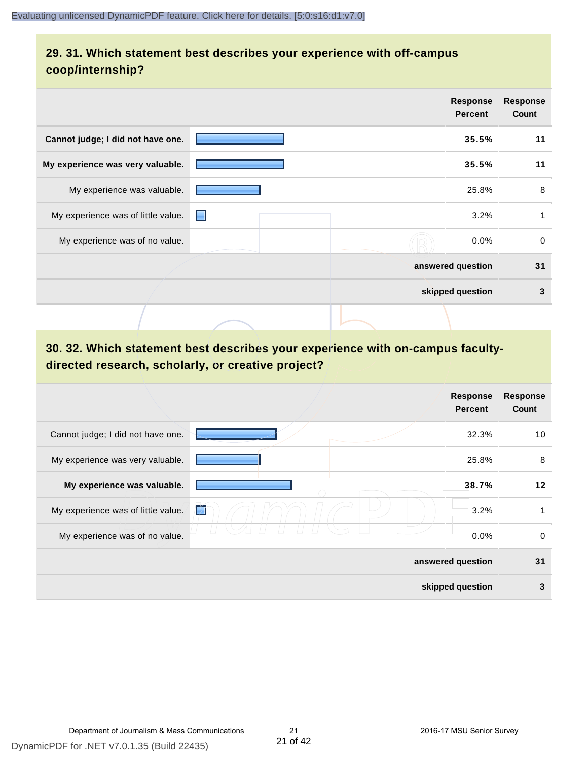# **29. 31. Which statement best describes your experience with off-campus coop/internship?**

|                                    | <b>Response</b><br><b>Percent</b> | <b>Response</b><br>Count |
|------------------------------------|-----------------------------------|--------------------------|
| Cannot judge; I did not have one.  | 35.5%                             | 11                       |
| My experience was very valuable.   | 35.5%                             | 11                       |
| My experience was valuable.        | 25.8%                             | 8                        |
| My experience was of little value. | н                                 | 3.2%                     |
| My experience was of no value.     |                                   | $\Omega$<br>$0.0\%$      |
|                                    | answered question                 | 31                       |
|                                    | skipped question                  | 3                        |
|                                    |                                   |                          |

# **30. 32. Which statement best describes your experience with on-campus facultydirected research, scholarly, or creative project?**

|                                    | Response<br><b>Percent</b> | <b>Response</b><br>Count |
|------------------------------------|----------------------------|--------------------------|
| Cannot judge; I did not have one.  | 32.3%                      | 10                       |
| My experience was very valuable.   | 25.8%                      | 8                        |
| My experience was valuable.        | 38.7%                      | 12                       |
| My experience was of little value. | K<br>3.2%                  | 1                        |
| My experience was of no value.     | 0.0%                       | 0                        |
|                                    | answered question          | 31                       |
|                                    | skipped question           | 3                        |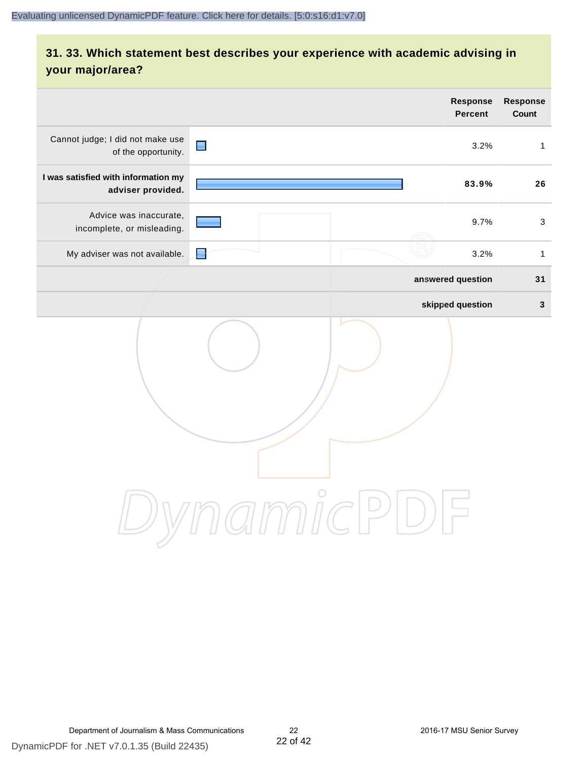# **31. 33. Which statement best describes your experience with academic advising in your major/area?**

|                                                          |                | Response<br><b>Percent</b>                    | Response<br>Count         |
|----------------------------------------------------------|----------------|-----------------------------------------------|---------------------------|
| Cannot judge; I did not make use<br>of the opportunity.  | $\blacksquare$ | 3.2%                                          | $\mathbf{1}$              |
| I was satisfied with information my<br>adviser provided. |                | 83.9%                                         | 26                        |
| Advice was inaccurate,<br>incomplete, or misleading.     |                | 9.7%                                          | $\ensuremath{\mathsf{3}}$ |
| My adviser was not available.                            | E              | 3.2%                                          | $\mathbf{1}$              |
|                                                          |                | answered question                             | 31                        |
|                                                          |                | skipped question                              | $\mathbf 3$               |
|                                                          | amnicPl        | $\left( \begin{array}{c} \end{array} \right)$ |                           |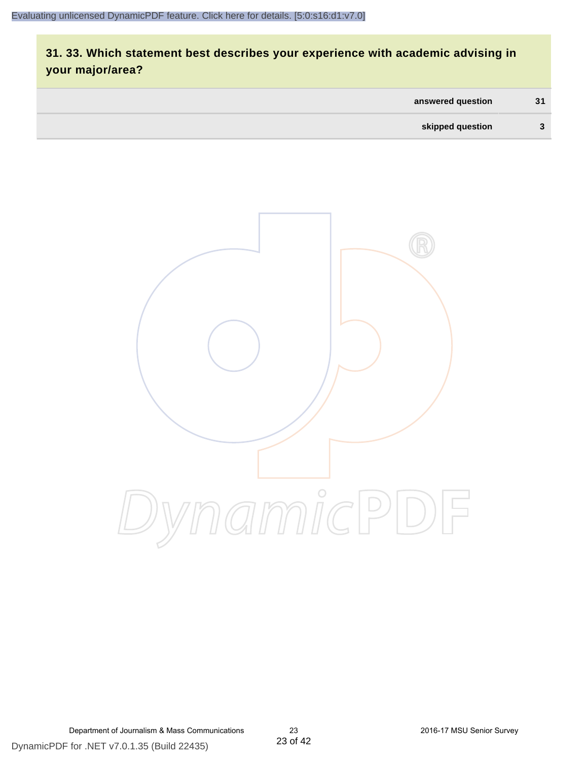# **31. 33. Which statement best describes your experience with academic advising in your major/area?**

| answered question | 31 |
|-------------------|----|
| skipped question  | 2  |



Department of Journalism & Mass Communications 23 2016-17 MSU Senior Survey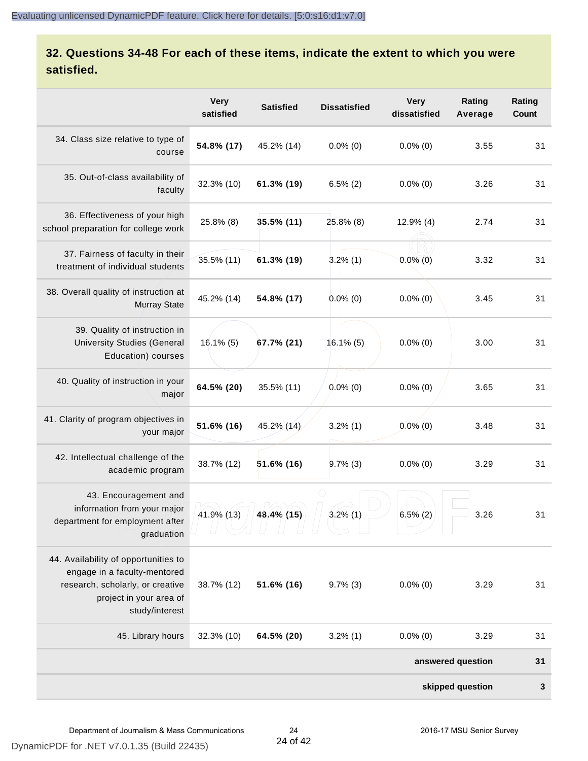# **32. Questions 34-48 For each of these items, indicate the extent to which you were satisfied.**

|                                                                                                                                                       | <b>Very</b><br>satisfied | <b>Satisfied</b> | <b>Dissatisfied</b> | <b>Very</b><br>dissatisfied | Rating<br>Average | Rating<br>Count |
|-------------------------------------------------------------------------------------------------------------------------------------------------------|--------------------------|------------------|---------------------|-----------------------------|-------------------|-----------------|
| 34. Class size relative to type of<br>course                                                                                                          | 54.8% (17)               | 45.2% (14)       | $0.0\%$ (0)         | $0.0\%$ (0)                 | 3.55              | 31              |
| 35. Out-of-class availability of<br>faculty                                                                                                           | 32.3% (10)               | 61.3% (19)       | $6.5\%$ (2)         | $0.0\%$ (0)                 | 3.26              | 31              |
| 36. Effectiveness of your high<br>school preparation for college work                                                                                 | 25.8% (8)                | $35.5\%$ (11)    | 25.8% (8)           | $12.9\%$ (4)                | 2.74              | 31              |
| 37. Fairness of faculty in their<br>treatment of individual students                                                                                  | 35.5% (11)               | 61.3% (19)       | $3.2\%$ (1)         | $0.0\%$ (0)                 | 3.32              | 31              |
| 38. Overall quality of instruction at<br><b>Murray State</b>                                                                                          | 45.2% (14)               | 54.8% (17)       | $0.0\%$ (0)         | $0.0\%$ (0)                 | 3.45              | 31              |
| 39. Quality of instruction in<br><b>University Studies (General</b><br>Education) courses                                                             | $16.1\%$ (5)             | 67.7% (21)       | $16.1\%$ (5)        | $0.0\%$ (0)                 | 3.00              | 31              |
| 40. Quality of instruction in your<br>major                                                                                                           | 64.5% (20)               | 35.5% (11)       | $0.0\%$ (0)         | $0.0\%$ (0)                 | 3.65              | 31              |
| 41. Clarity of program objectives in<br>your major                                                                                                    | 51.6% (16)               | 45.2% (14)       | $3.2\%$ (1)         | $0.0\%$ (0)                 | 3.48              | 31              |
| 42. Intellectual challenge of the<br>academic program                                                                                                 | 38.7% (12)               | $51.6\%$ (16)    | $9.7\%$ (3)         | $0.0\%$ (0)                 | 3.29              | 31              |
| 43. Encouragement and<br>information from your major<br>department for employment after<br>graduation                                                 | 41.9% (13)               | 48.4% (15)       | $3.2\%$ (1)         | $6.5\%$ (2)                 | 3.26              | 31              |
| 44. Availability of opportunities to<br>engage in a faculty-mentored<br>research, scholarly, or creative<br>project in your area of<br>study/interest | 38.7% (12)               | 51.6% (16)       | $9.7\%$ (3)         | $0.0\%$ (0)                 | 3.29              | 31              |
| 45. Library hours                                                                                                                                     | 32.3% (10)               | 64.5% (20)       | $3.2\%$ (1)         | $0.0\%$ (0)                 | 3.29              | 31              |
|                                                                                                                                                       |                          |                  |                     |                             | answered question | 31              |
|                                                                                                                                                       |                          |                  |                     |                             | skipped question  | 3               |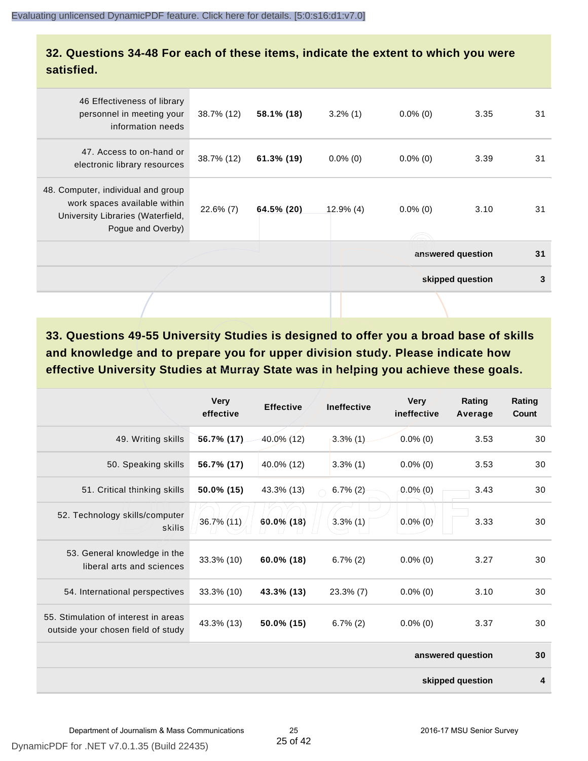### **32. Questions 34-48 For each of these items, indicate the extent to which you were satisfied.**

| Pogue and Overby)                                                                           |            |              |             |      |                                   |
|---------------------------------------------------------------------------------------------|------------|--------------|-------------|------|-----------------------------------|
| 48. Computer, individual and group<br>work spaces available within<br>$22.6\%$ (7)          | 64.5% (20) | $12.9\%$ (4) | $0.0\%$ (0) | 3.10 | 31                                |
| 47. Access to on-hand or<br>38.7% (12)<br>electronic library resources                      | 61.3% (19) | $0.0\%$ (0)  | $0.0\%$ (0) | 3.39 | 31                                |
| 46 Effectiveness of library<br>personnel in meeting your<br>38.7% (12)<br>information needs | 58.1% (18) | $3.2\%$ (1)  | $0.0\%$ (0) | 3.35 | 31                                |
|                                                                                             |            |              |             |      | University Libraries (Waterfield, |

**33. Questions 49-55 University Studies is designed to offer you a broad base of skills and knowledge and to prepare you for upper division study. Please indicate how effective University Studies at Murray State was in helping you achieve these goals.**

|                                                                            | <b>Very</b><br>effective | <b>Effective</b> | <b>Ineffective</b> | <b>Very</b><br>ineffective | Rating<br>Average | Rating<br>Count |
|----------------------------------------------------------------------------|--------------------------|------------------|--------------------|----------------------------|-------------------|-----------------|
| 49. Writing skills                                                         | 56.7% (17)               | 40.0% (12)       | $3.3\%$ (1)        | $0.0\%$ (0)                | 3.53              | 30              |
| 50. Speaking skills                                                        | 56.7% (17)               | 40.0% (12)       | $3.3\%$ (1)        | $0.0\%$ (0)                | 3.53              | 30              |
| 51. Critical thinking skills                                               | 50.0% (15)               | 43.3% (13)       | $6.7\%$ (2)        | $0.0\%$ (0)                | 3.43              | 30              |
| 52. Technology skills/computer<br>skills                                   | 36.7% (11)               | 60.0% (18)       | $3.3\%$ (1)        | $0.0\%$ (0)                | 3.33              | 30              |
| 53. General knowledge in the<br>liberal arts and sciences                  | 33.3% (10)               | 60.0% (18)       | $6.7\%(2)$         | $0.0\%$ (0)                | 3.27              | 30              |
| 54. International perspectives                                             | 33.3% (10)               | 43.3% (13)       | $23.3\%$ (7)       | $0.0\%$ (0)                | 3.10              | 30              |
| 55. Stimulation of interest in areas<br>outside your chosen field of study | 43.3% (13)               | 50.0% (15)       | $6.7\%(2)$         | $0.0\%$ (0)                | 3.37              | 30              |
|                                                                            |                          |                  |                    |                            | answered question | 30              |
|                                                                            |                          |                  |                    |                            | skipped question  | 4               |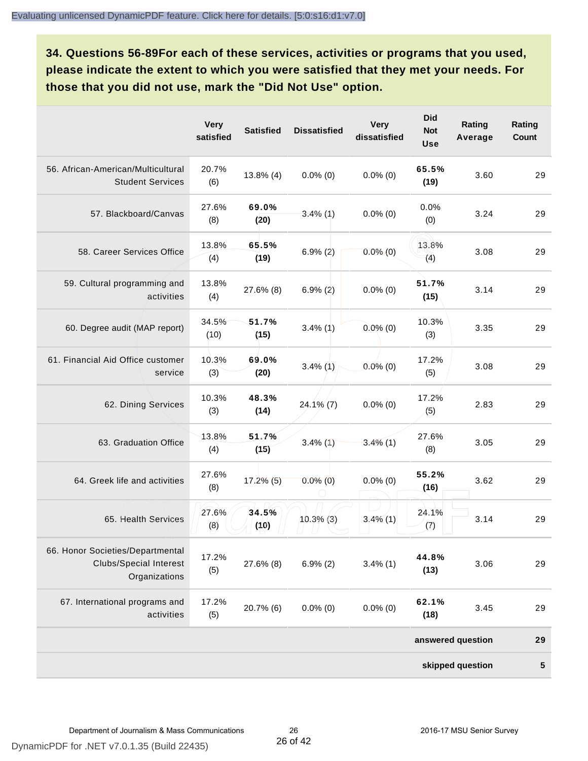**34. Questions 56-89For each of these services, activities or programs that you used, please indicate the extent to which you were satisfied that they met your needs. For those that you did not use, mark the "Did Not Use" option.**

|                                                                                    | <b>Very</b><br>satisfied | <b>Satisfied</b> | <b>Dissatisfied</b> | <b>Very</b><br>dissatisfied | <b>Did</b><br><b>Not</b><br><b>Use</b> | Rating<br>Average | Rating<br><b>Count</b> |
|------------------------------------------------------------------------------------|--------------------------|------------------|---------------------|-----------------------------|----------------------------------------|-------------------|------------------------|
| 56. African-American/Multicultural<br><b>Student Services</b>                      | 20.7%<br>(6)             | $13.8\%$ (4)     | $0.0\%$ (0)         | $0.0\%$ (0)                 | 65.5%<br>(19)                          | 3.60              | 29                     |
| 57. Blackboard/Canvas                                                              | 27.6%<br>(8)             | 69.0%<br>(20)    | $3.4\%$ (1)         | $0.0\%$ (0)                 | 0.0%<br>(0)                            | 3.24              | 29                     |
| 58. Career Services Office                                                         | 13.8%<br>(4)             | 65.5%<br>(19)    | $6.9\%(2)$          | $0.0\%$ (0)                 | 13.8%<br>(4)                           | 3.08              | 29                     |
| 59. Cultural programming and<br>activities                                         | 13.8%<br>(4)             | 27.6% (8)        | $6.9\% (2)$         | $0.0\%$ (0)                 | 51.7%<br>(15)                          | 3.14              | 29                     |
| 60. Degree audit (MAP report)                                                      | 34.5%<br>(10)            | 51.7%<br>(15)    | $3.4\%$ (1)         | $0.0\%$ (0)                 | 10.3%<br>(3)                           | 3.35              | 29                     |
| 61. Financial Aid Office customer<br>service                                       | 10.3%<br>(3)             | 69.0%<br>(20)    | $3.4\%$ (1)         | $0.0\%$ (0)                 | 17.2%<br>(5)                           | 3.08              | 29                     |
| 62. Dining Services                                                                | 10.3%<br>(3)             | 48.3%<br>(14)    | $24.1\%$ (7)        | $0.0\%$ (0)                 | 17.2%<br>(5)                           | 2.83              | 29                     |
| 63. Graduation Office                                                              | 13.8%<br>(4)             | 51.7%<br>(15)    | $3.4\%$ (1)         | $3.4\%$ (1)                 | 27.6%<br>(8)                           | 3.05              | 29                     |
| 64. Greek life and activities                                                      | 27.6%<br>(8)             | $17.2\%$ (5)     | $0.0\%$ (0)         | $0.0\%$ (0)                 | 55.2%<br>(16)                          | 3.62              | 29                     |
| 65. Health Services                                                                | 27.6%<br>(8)             | 34.5%<br>(10)    | $10.3\%$ (3)        | $3.4\%$ (1)                 | 24.1%<br>(7)                           | 3.14              | 29                     |
| 66. Honor Societies/Departmental<br><b>Clubs/Special Interest</b><br>Organizations | 17.2%<br>(5)             | 27.6% (8)        | $6.9\%(2)$          | $3.4\%$ (1)                 | 44.8%<br>(13)                          | 3.06              | 29                     |
| 67. International programs and<br>activities                                       | 17.2%<br>(5)             | 20.7% (6)        | $0.0\%$ (0)         | $0.0\%$ (0)                 | 62.1%<br>(18)                          | 3.45              | 29                     |
|                                                                                    |                          |                  |                     |                             |                                        | answered question | 29                     |
|                                                                                    |                          |                  |                     |                             |                                        | skipped question  | ${\bf 5}$              |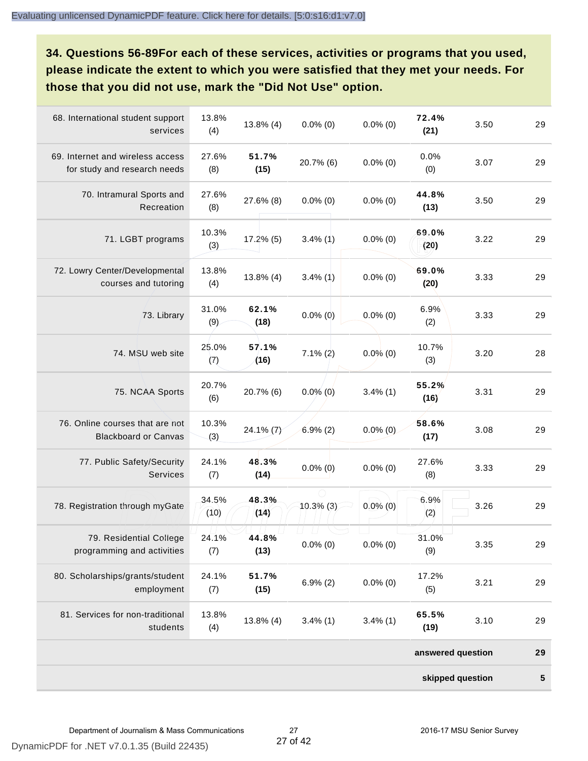**34. Questions 56-89For each of these services, activities or programs that you used, please indicate the extent to which you were satisfied that they met your needs. For those that you did not use, mark the "Did Not Use" option.**

| 68. International student support<br>services                    | 13.8%<br>(4)  | 13.8% (4)     | $0.0\%$ (0)  | $0.0\%$ (0) | 72.4%<br>(21)     | 3.50 | 29 |
|------------------------------------------------------------------|---------------|---------------|--------------|-------------|-------------------|------|----|
| 69. Internet and wireless access<br>for study and research needs | 27.6%<br>(8)  | 51.7%<br>(15) | 20.7% (6)    | $0.0\%$ (0) | 0.0%<br>(0)       | 3.07 | 29 |
| 70. Intramural Sports and<br>Recreation                          | 27.6%<br>(8)  | 27.6% (8)     | $0.0\%$ (0)  | $0.0\%$ (0) | 44.8%<br>(13)     | 3.50 | 29 |
| 71. LGBT programs                                                | 10.3%<br>(3)  | 17.2% (5)     | $3.4\%$ (1)  | $0.0\%$ (0) | 69.0%<br>(20)     | 3.22 | 29 |
| 72. Lowry Center/Developmental<br>courses and tutoring           | 13.8%<br>(4)  | 13.8% (4)     | $3.4\%$ (1)  | $0.0\%$ (0) | 69.0%<br>(20)     | 3.33 | 29 |
| 73. Library                                                      | 31.0%<br>(9)  | 62.1%<br>(18) | $0.0\%$ (0)  | $0.0\%$ (0) | 6.9%<br>(2)       | 3.33 | 29 |
| 74. MSU web site                                                 | 25.0%<br>(7)  | 57.1%<br>(16) | $7.1\% (2)$  | $0.0\%$ (0) | 10.7%<br>(3)      | 3.20 | 28 |
| 75. NCAA Sports                                                  | 20.7%<br>(6)  | 20.7% (6)     | $0.0\%$ (0)  | $3.4\%$ (1) | 55.2%<br>(16)     | 3.31 | 29 |
| 76. Online courses that are not<br><b>Blackboard or Canvas</b>   | 10.3%<br>(3)  | $24.1\%$ (7)  | $6.9\%(2)$   | $0.0\%$ (0) | 58.6%<br>(17)     | 3.08 | 29 |
| 77. Public Safety/Security<br><b>Services</b>                    | 24.1%<br>(7)  | 48.3%<br>(14) | $0.0\%$ (0)  | $0.0\%$ (0) | 27.6%<br>(8)      | 3.33 | 29 |
| 78. Registration through myGate                                  | 34.5%<br>(10) | 48.3%<br>(14) | $10.3\%$ (3) | $0.0\%$ (0) | 6.9%<br>(2)       | 3.26 | 29 |
| 79. Residential College<br>programming and activities            | 24.1%<br>(7)  | 44.8%<br>(13) | $0.0\%$ (0)  | $0.0\%$ (0) | 31.0%<br>(9)      | 3.35 | 29 |
| 80. Scholarships/grants/student<br>employment                    | 24.1%<br>(7)  | 51.7%<br>(15) | $6.9\%(2)$   | $0.0\%$ (0) | 17.2%<br>(5)      | 3.21 | 29 |
| 81. Services for non-traditional<br>students                     | 13.8%<br>(4)  | 13.8% (4)     | $3.4\%$ (1)  | $3.4\%$ (1) | 65.5%<br>(19)     | 3.10 | 29 |
|                                                                  |               |               |              |             | answered question |      | 29 |
|                                                                  |               |               |              |             | skipped question  |      | 5  |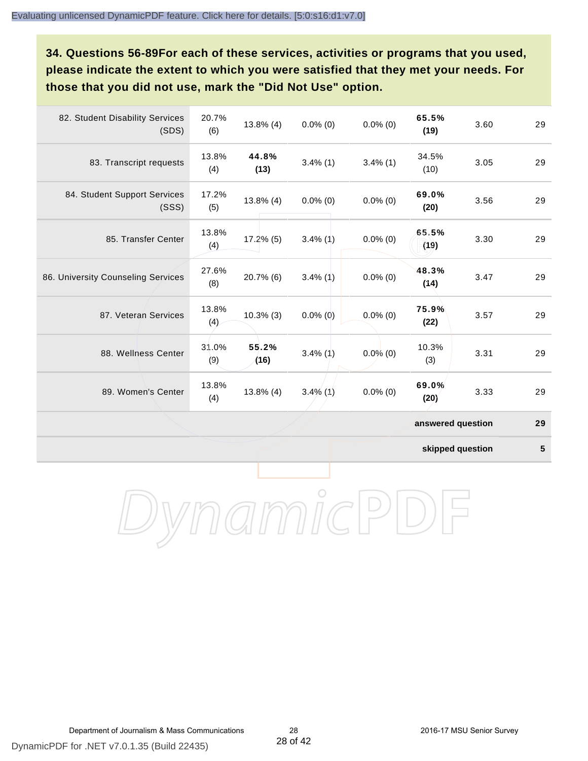**34. Questions 56-89For each of these services, activities or programs that you used, please indicate the extent to which you were satisfied that they met your needs. For those that you did not use, mark the "Did Not Use" option.**

| 82. Student Disability Services<br>(SDS) | 20.7%<br>(6) | $13.8\%$ (4)  | $0.0\%$ (0) | $0.0\%$ (0) | 65.5%<br>(19)     | 3.60 | 29 |
|------------------------------------------|--------------|---------------|-------------|-------------|-------------------|------|----|
| 83. Transcript requests                  | 13.8%<br>(4) | 44.8%<br>(13) | $3.4\%$ (1) | $3.4\%$ (1) | 34.5%<br>(10)     | 3.05 | 29 |
| 84. Student Support Services<br>(SSS)    | 17.2%<br>(5) | $13.8\%$ (4)  | $0.0\%$ (0) | $0.0\%$ (0) | 69.0%<br>(20)     | 3.56 | 29 |
| 85. Transfer Center                      | 13.8%<br>(4) | $17.2\%$ (5)  | $3.4\%$ (1) | $0.0\%$ (0) | 65.5%<br>(19)     | 3.30 | 29 |
| 86. University Counseling Services       | 27.6%<br>(8) | 20.7% (6)     | $3.4\%$ (1) | $0.0\%$ (0) | 48.3%<br>(14)     | 3.47 | 29 |
| 87. Veteran Services                     | 13.8%<br>(4) | $10.3\%$ (3)  | $0.0\%$ (0) | $0.0\%$ (0) | 75.9%<br>(22)     | 3.57 | 29 |
| 88. Wellness Center                      | 31.0%<br>(9) | 55.2%<br>(16) | $3.4\%$ (1) | $0.0\%$ (0) | 10.3%<br>(3)      | 3.31 | 29 |
| 89. Women's Center                       | 13.8%<br>(4) | $13.8\%$ (4)  | $3.4\%$ (1) | $0.0\%$ (0) | 69.0%<br>(20)     | 3.33 | 29 |
|                                          |              |               |             |             | answered question |      | 29 |

**skipped question 5**

DynamicPDF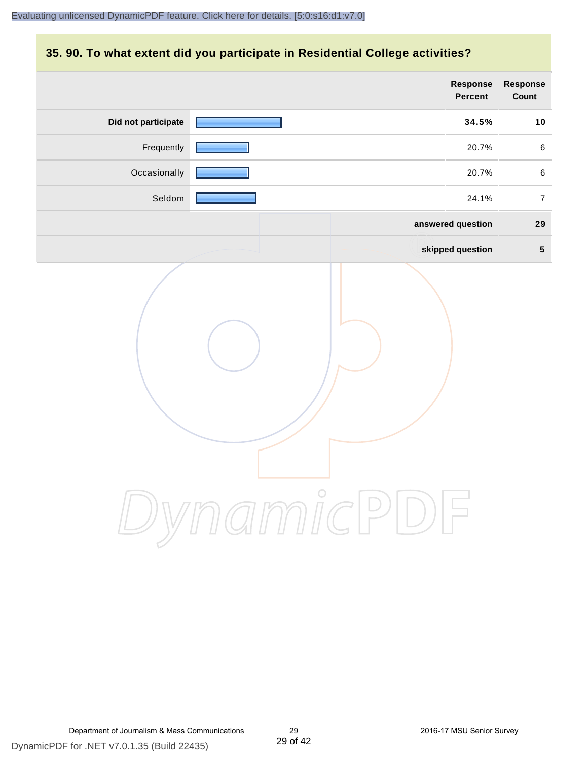### **35. 90. To what extent did you participate in Residential College activities?**

|                     | Response<br>Percent | Response<br>Count |
|---------------------|---------------------|-------------------|
| Did not participate | 34.5%               | 10                |
| Frequently          | 20.7%               | $\,6\,$           |
| Occasionally        | 20.7%               | $\,6\,$           |
| Seldom              | 24.1%               | $\overline{7}$    |
|                     | answered question   | 29                |
|                     | skipped question    | $5\phantom{.0}$   |
|                     | ynamicPD            |                   |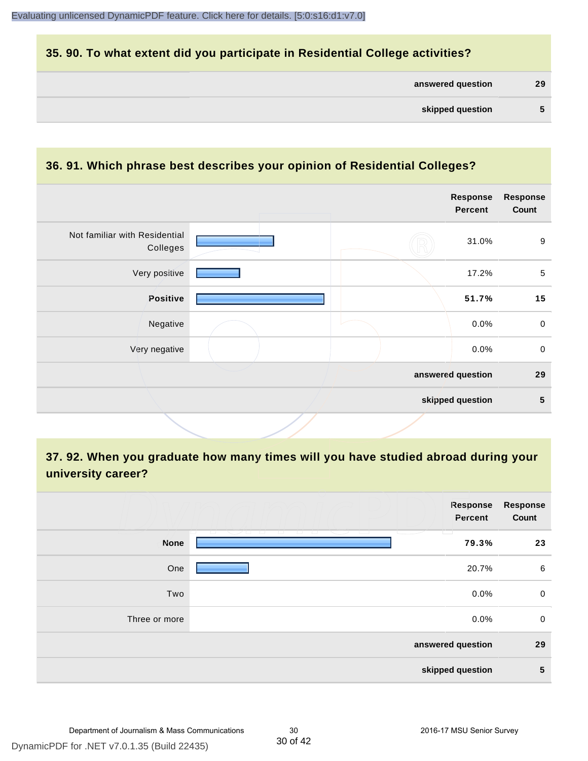### **35. 90. To what extent did you participate in Residential College activities?**

| answered question | 29 |
|-------------------|----|
|-------------------|----|

#### **36. 91. Which phrase best describes your opinion of Residential Colleges?**

| Not familiar with Residential<br>$9\,$<br>31.0%<br>Colleges<br>Very positive<br>$\sqrt{5}$<br>17.2%<br>Positive<br>15<br>51.7%<br>Negative<br>0.0%<br>$\mathbf 0$<br>$\mathbf 0$<br>Very negative<br>0.0%<br>answered question<br>29<br>5<br>skipped question |  | <b>Response</b><br><b>Percent</b> | Response<br>Count |
|---------------------------------------------------------------------------------------------------------------------------------------------------------------------------------------------------------------------------------------------------------------|--|-----------------------------------|-------------------|
|                                                                                                                                                                                                                                                               |  |                                   |                   |
|                                                                                                                                                                                                                                                               |  |                                   |                   |
|                                                                                                                                                                                                                                                               |  |                                   |                   |
|                                                                                                                                                                                                                                                               |  |                                   |                   |
|                                                                                                                                                                                                                                                               |  |                                   |                   |
|                                                                                                                                                                                                                                                               |  |                                   |                   |
|                                                                                                                                                                                                                                                               |  |                                   |                   |

# **37. 92. When you graduate how many times will you have studied abroad during your university career?**

|               | <b>Response</b><br>Percent                                             | <b>Response</b><br>Count |
|---------------|------------------------------------------------------------------------|--------------------------|
| <b>None</b>   | ___<br>المناسبات<br><b>TEMP</b><br><b>The Company</b><br>マースト<br>79.3% | 23                       |
| One           | 20.7%                                                                  | 6                        |
| Two           | 0.0%                                                                   | 0                        |
| Three or more | 0.0%                                                                   | $\mathbf 0$              |
|               | answered question                                                      | 29                       |
|               | skipped question                                                       | 5                        |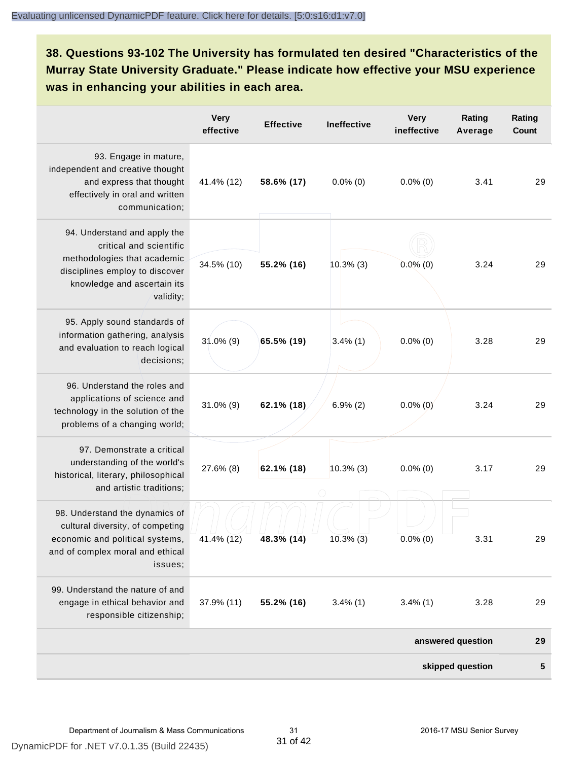**38. Questions 93-102 The University has formulated ten desired "Characteristics of the Murray State University Graduate." Please indicate how effective your MSU experience was in enhancing your abilities in each area.**

|                                                                                                                                                                      | <b>Very</b><br>effective | <b>Effective</b> | <b>Ineffective</b> | <b>Very</b><br>ineffective | Rating<br>Average | Rating<br>Count |
|----------------------------------------------------------------------------------------------------------------------------------------------------------------------|--------------------------|------------------|--------------------|----------------------------|-------------------|-----------------|
| 93. Engage in mature,<br>independent and creative thought<br>and express that thought<br>effectively in oral and written<br>communication;                           | 41.4% (12)               | 58.6% (17)       | $0.0\%$ (0)        | $0.0\%$ (0)                | 3.41              | 29              |
| 94. Understand and apply the<br>critical and scientific<br>methodologies that academic<br>disciplines employ to discover<br>knowledge and ascertain its<br>validity; | 34.5% (10)               | 55.2% (16)       | $10.3\%$ (3)       | $0.0\%$ (0)                | 3.24              | 29              |
| 95. Apply sound standards of<br>information gathering, analysis<br>and evaluation to reach logical<br>decisions;                                                     | $31.0\%$ (9)             | 65.5% (19)       | $3.4\%$ (1)        | $0.0\%$ (0)                | 3.28              | 29              |
| 96. Understand the roles and<br>applications of science and<br>technology in the solution of the<br>problems of a changing world;                                    | $31.0\%$ (9)             | 62.1% (18)       | $6.9\%$ (2)        | $0.0\%$ (0)                | 3.24              | 29              |
| 97. Demonstrate a critical<br>understanding of the world's<br>historical, literary, philosophical<br>and artistic traditions;                                        | 27.6% (8)                | 62.1% (18)       | $10.3\%$ (3)       | $0.0\%$ (0)                | 3.17              | 29              |
| 98. Understand the dynamics of<br>cultural diversity, of competing<br>economic and political systems,<br>and of complex moral and ethical<br>issues:                 | 41.4% (12)               | 48.3% (14)       | 10.3% (3)          | $0.0\%$ (0)                | 3.31              | 29              |
| 99. Understand the nature of and<br>engage in ethical behavior and<br>responsible citizenship;                                                                       | 37.9% (11)               | 55.2% (16)       | $3.4\%$ (1)        | $3.4\%$ (1)                | 3.28              | 29              |
|                                                                                                                                                                      |                          |                  |                    |                            | answered question | 29              |
|                                                                                                                                                                      |                          |                  |                    |                            | skipped question  | 5               |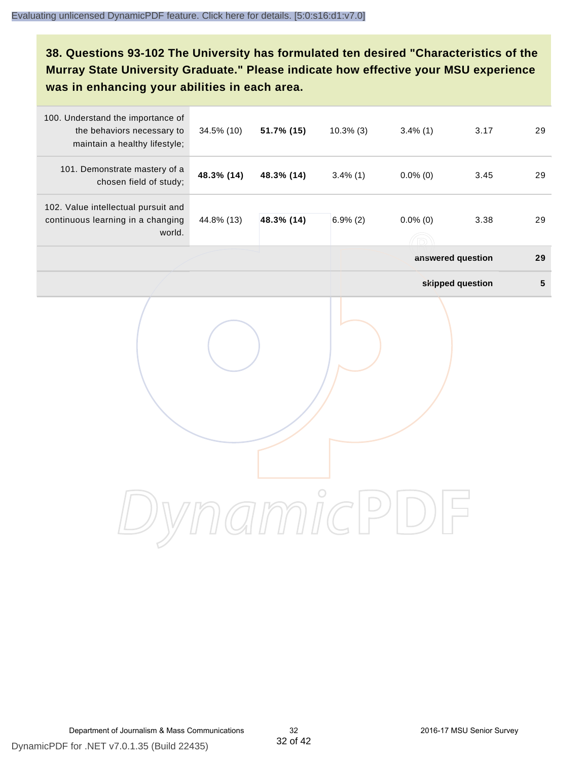# **38. Questions 93-102 The University has formulated ten desired "Characteristics of the Murray State University Graduate." Please indicate how effective your MSU experience was in enhancing your abilities in each area.**

| 100. Understand the importance of<br>the behaviors necessary to<br>maintain a healthy lifestyle; | 34.5% (10) | 51.7% (15) | $10.3\%$ (3) | $3.4\%$ (1)                             | 3.17             | 29              |
|--------------------------------------------------------------------------------------------------|------------|------------|--------------|-----------------------------------------|------------------|-----------------|
| 101. Demonstrate mastery of a<br>chosen field of study;                                          | 48.3% (14) | 48.3% (14) | $3.4\%$ (1)  | $0.0\%$ (0)                             | 3.45             | 29              |
| 102. Value intellectual pursuit and<br>continuous learning in a changing<br>world.               | 44.8% (13) | 48.3% (14) | $6.9\%$ (2)  | $0.0\%$ (0)<br>$(\widehat{\mathbb{R}})$ | 3.38             | 29              |
|                                                                                                  |            |            |              | answered question                       |                  | 29              |
|                                                                                                  |            |            |              |                                         | skipped question | $5\phantom{.0}$ |
|                                                                                                  |            |            |              |                                         |                  |                 |
|                                                                                                  |            |            |              |                                         |                  |                 |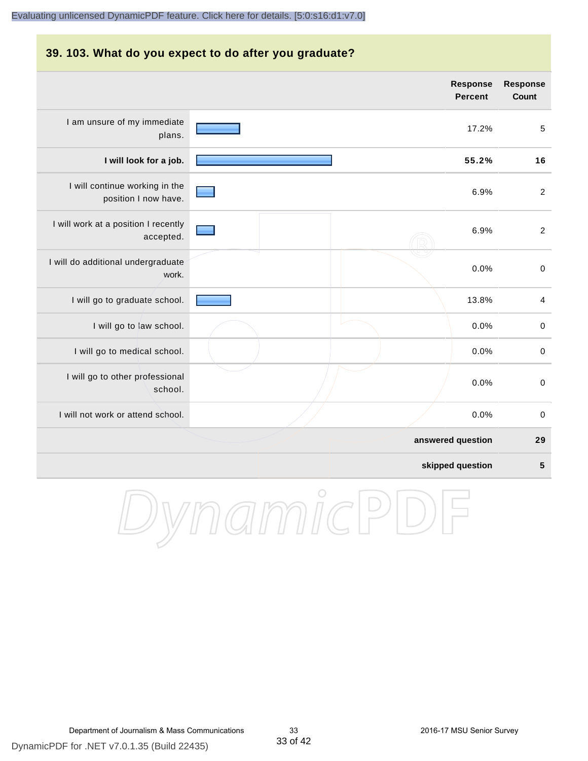# **39. 103. What do you expect to do after you graduate? answered question 29 skipped question 5 Response Percent Response Count** I am unsure of my immediate plans. 17.2% 5 **I will look for a job. 55.2% 16** I will continue working in the position I now have. 6.9% 2 I will work at a position I recently accepted. 6.9% 2 I will do additional undergraduate work. 0.0% 0 I will go to graduate school. **13.8%** 4 I will go to law school.  $\sim$  0.0% 0 I will go to medical school.  $\qquad \qquad \qquad$  0.0% 0 I will go to other professional school. 0.0% 0 I will not work or attend school. 0.0% 0

DynamicPD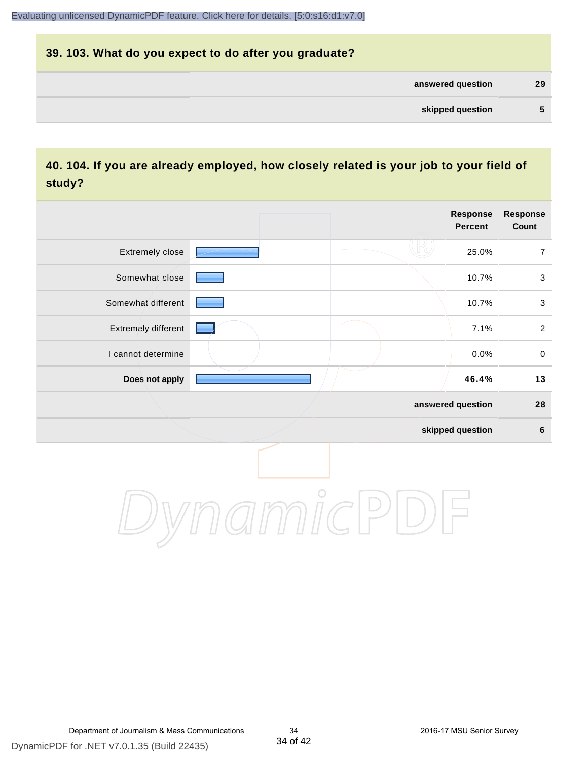# **39. 103. What do you expect to do after you graduate? answered question 29 skipped question 5**

## **40. 104. If you are already employed, how closely related is your job to your field of study?**

|                     |            | Response<br><b>Percent</b> | Response<br>Count |
|---------------------|------------|----------------------------|-------------------|
| Extremely close     |            | 25.0%                      | $\boldsymbol{7}$  |
| Somewhat close      |            | 10.7%                      | $\mathbf{3}$      |
| Somewhat different  |            | 10.7%                      | $\mathfrak{S}$    |
| Extremely different |            | 7.1%                       | $\overline{a}$    |
| I cannot determine  |            | 0.0%                       | $\mathbf 0$       |
| Does not apply      |            | 46.4%                      | 13                |
|                     |            | answered question          | 28                |
|                     |            | skipped question           | $\bf 6$           |
|                     | $\bigcirc$ |                            |                   |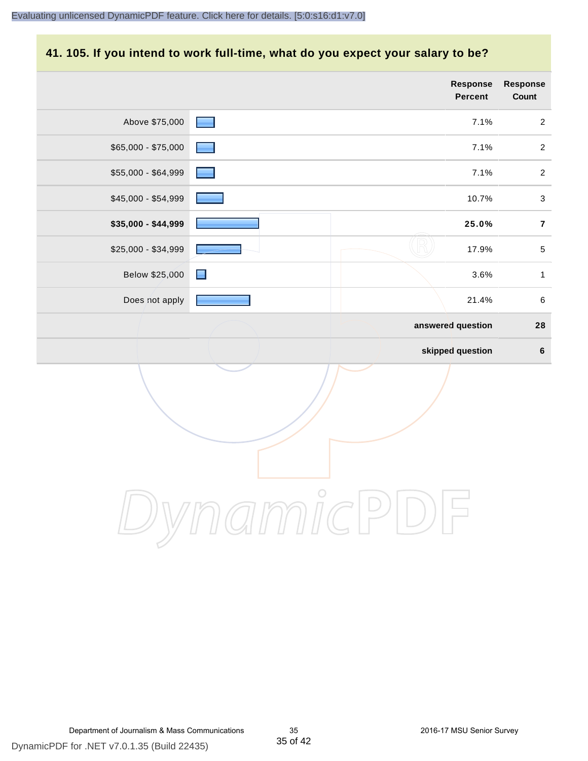#### **41. 105. If you intend to work full-time, what do you expect your salary to be?**

|                     |                 | <b>Response</b><br>Percent | Response<br>Count |
|---------------------|-----------------|----------------------------|-------------------|
| Above \$75,000      | <b>Resident</b> | 7.1%                       | $\overline{2}$    |
| \$65,000 - \$75,000 |                 | 7.1%                       | $\sqrt{2}$        |
| \$55,000 - \$64,999 |                 | 7.1%                       | $\sqrt{2}$        |
| \$45,000 - \$54,999 |                 | 10.7%                      | $\mathbf{3}$      |
| \$35,000 - \$44,999 |                 | 25.0%                      | $\bf 7$           |
| \$25,000 - \$34,999 |                 | 17.9%                      | $\sqrt{5}$        |
| Below \$25,000      | $\blacksquare$  | 3.6%                       | $\mathbf{1}$      |
| Does not apply      |                 | 21.4%                      | $\,6\,$           |
|                     |                 | answered question          | 28                |
|                     |                 | skipped question           | $\bf 6$           |
|                     |                 |                            |                   |
|                     | $\overline{C}$  |                            |                   |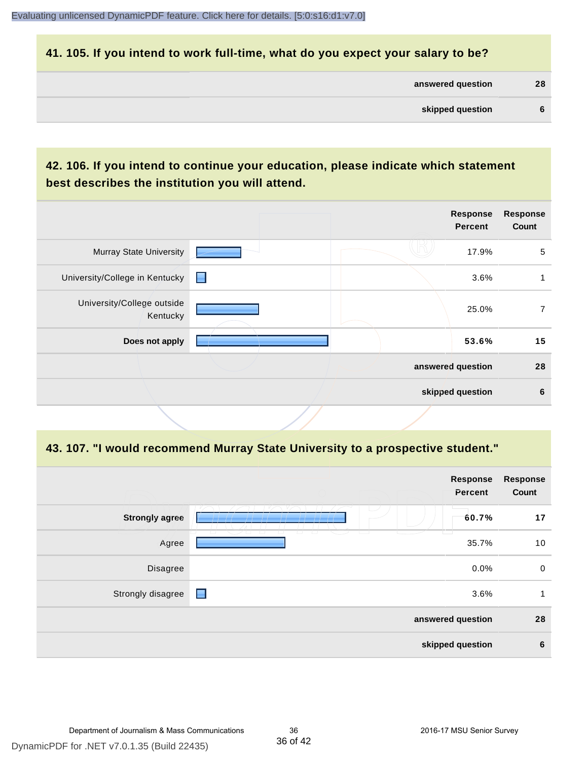#### **41. 105. If you intend to work full-time, what do you expect your salary to be?**

| answered question | 28 |
|-------------------|----|
|-------------------|----|

# **42. 106. If you intend to continue your education, please indicate which statement best describes the institution you will attend.**

| <b>Murray State University</b><br>17.9%<br>University/College in Kentucky<br>Н<br>3.6%<br>University/College outside<br>25.0%<br>Kentucky<br>Does not apply<br>53.6%<br>answered question<br>skipped question |  | <b>Response</b><br><b>Percent</b> | <b>Response</b><br>Count |
|---------------------------------------------------------------------------------------------------------------------------------------------------------------------------------------------------------------|--|-----------------------------------|--------------------------|
|                                                                                                                                                                                                               |  |                                   | 5                        |
|                                                                                                                                                                                                               |  |                                   |                          |
|                                                                                                                                                                                                               |  |                                   | 7                        |
|                                                                                                                                                                                                               |  |                                   | 15                       |
|                                                                                                                                                                                                               |  |                                   | 28                       |
|                                                                                                                                                                                                               |  |                                   | 6                        |

#### **43. 107. "I would recommend Murray State University to a prospective student."**

|                       | <b>Response</b><br>Percent                                                  | <b>Response</b><br>Count |                 |
|-----------------------|-----------------------------------------------------------------------------|--------------------------|-----------------|
| <b>Strongly agree</b> | U.<br>60.7%                                                                 |                          | 17              |
| Agree                 | $\overline{\phantom{0}}$<br>$\sqrt{2}$<br>$\overline{\phantom{0}}$<br>35.7% |                          | 10              |
| Disagree              |                                                                             | 0.0%                     | $\mathbf 0$     |
| Strongly disagree     | $\blacksquare$                                                              | 3.6%                     | 1               |
|                       | answered question                                                           |                          | 28              |
|                       | skipped question                                                            |                          | $6\phantom{1}6$ |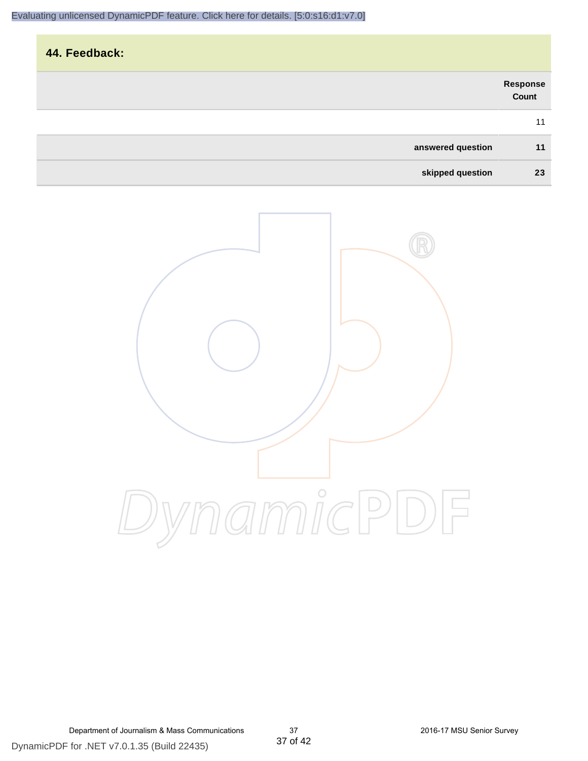| 44. Feedback:     |                   |
|-------------------|-------------------|
|                   | Response<br>Count |
|                   | 11                |
| answered question | 11                |
| skipped question  | 23                |

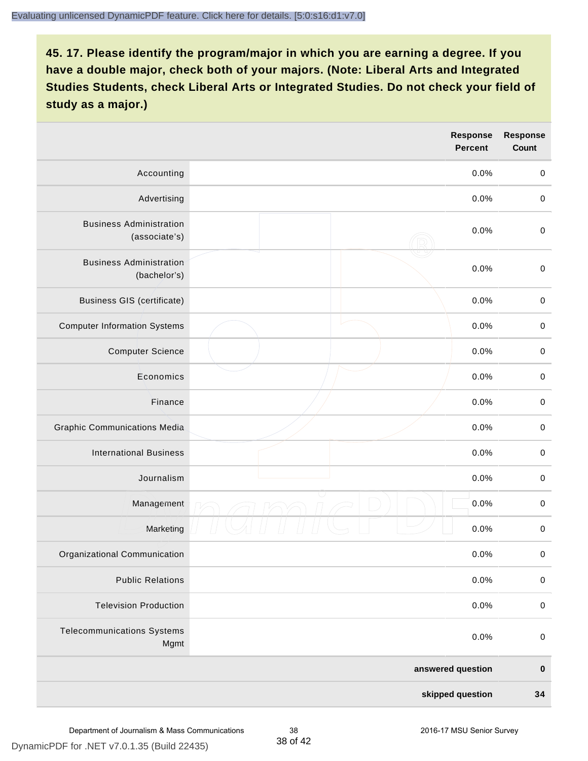|                                                 |  | <b>Response</b><br><b>Percent</b> | <b>Response</b><br>Count |
|-------------------------------------------------|--|-----------------------------------|--------------------------|
| Accounting                                      |  | 0.0%                              | $\mathbf 0$              |
| Advertising                                     |  | 0.0%                              | $\pmb{0}$                |
| <b>Business Administration</b><br>(associate's) |  | 0.0%                              | $\pmb{0}$                |
| <b>Business Administration</b><br>(bachelor's)  |  | 0.0%                              | $\pmb{0}$                |
| <b>Business GIS (certificate)</b>               |  | 0.0%                              | $\mathbf 0$              |
| <b>Computer Information Systems</b>             |  | 0.0%                              | $\pmb{0}$                |
| <b>Computer Science</b>                         |  | 0.0%                              | $\mathbf 0$              |
| Economics                                       |  | 0.0%                              | $\pmb{0}$                |
| Finance                                         |  | 0.0%                              | $\pmb{0}$                |
| <b>Graphic Communications Media</b>             |  | 0.0%                              | $\mathbf 0$              |
| <b>International Business</b>                   |  | 0.0%                              | $\pmb{0}$                |
| Journalism                                      |  | 0.0%                              | $\mathbf 0$              |
| Management                                      |  | 0.0%                              | $\pmb{0}$                |
| Marketing                                       |  | 0.0%                              | $\,0\,$                  |
| Organizational Communication                    |  | 0.0%                              | $\pmb{0}$                |
| <b>Public Relations</b>                         |  | 0.0%                              | $\mathbf 0$              |
| <b>Television Production</b>                    |  | 0.0%                              | $\mathsf 0$              |
| <b>Telecommunications Systems</b><br>Mgmt       |  | 0.0%                              | $\mathbf 0$              |
| answered question                               |  | $\pmb{0}$                         |                          |
| skipped question                                |  | 34                                |                          |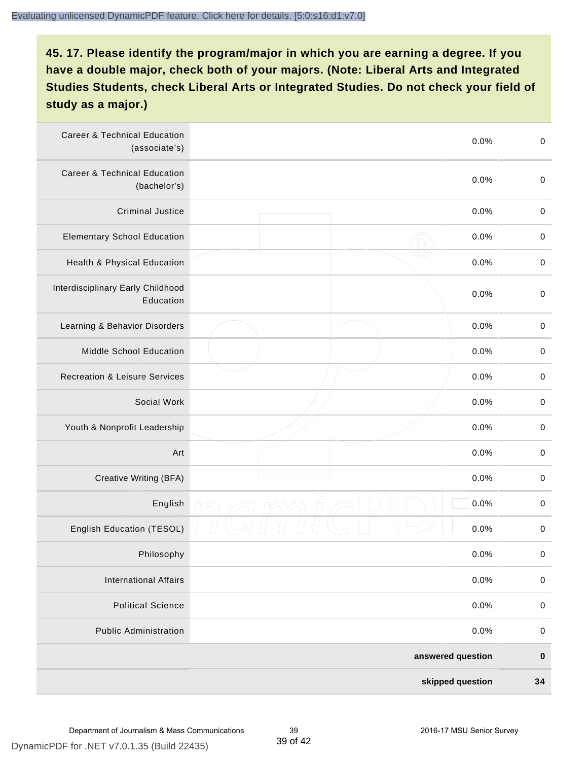| <b>Career &amp; Technical Education</b><br>(associate's) |  | 0.0% | $\pmb{0}$   |
|----------------------------------------------------------|--|------|-------------|
| <b>Career &amp; Technical Education</b><br>(bachelor's)  |  | 0.0% | $\mathbf 0$ |
| <b>Criminal Justice</b>                                  |  | 0.0% | $\pmb{0}$   |
| <b>Elementary School Education</b>                       |  | 0.0% | $\,0\,$     |
| Health & Physical Education                              |  | 0.0% | $\pmb{0}$   |
| Interdisciplinary Early Childhood<br>Education           |  | 0.0% | $\pmb{0}$   |
| Learning & Behavior Disorders                            |  | 0.0% | $\,0\,$     |
| <b>Middle School Education</b>                           |  | 0.0% | $\pmb{0}$   |
| <b>Recreation &amp; Leisure Services</b>                 |  | 0.0% | $\pmb{0}$   |
| Social Work                                              |  | 0.0% | $\,0\,$     |
| Youth & Nonprofit Leadership                             |  | 0.0% | $\,0\,$     |
| Art                                                      |  | 0.0% | $\,0\,$     |
| Creative Writing (BFA)                                   |  | 0.0% | $\mathbf 0$ |
| English                                                  |  | 0.0% | $\,0\,$     |
| English Education (TESOL)                                |  | 0.0% | 0           |
| Philosophy                                               |  | 0.0% | 0           |
| <b>International Affairs</b>                             |  | 0.0% | $\pmb{0}$   |
| <b>Political Science</b>                                 |  | 0.0% | $\pmb{0}$   |
| <b>Public Administration</b>                             |  | 0.0% | $\pmb{0}$   |
| answered question                                        |  |      | $\pmb{0}$   |
| skipped question                                         |  |      | 34          |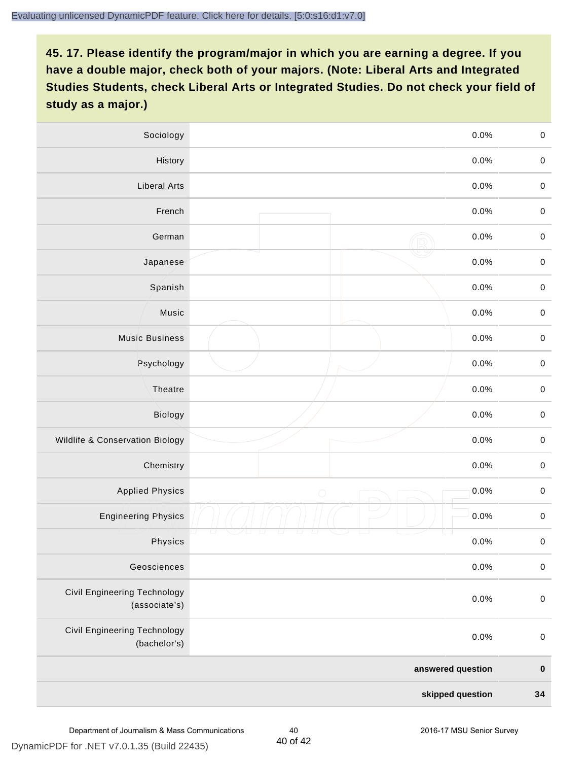| Sociology                                     | 0.0%               | $\mathbf 0$ |
|-----------------------------------------------|--------------------|-------------|
| History                                       | $0.0\%$            | $\mathbf 0$ |
| <b>Liberal Arts</b>                           | 0.0%               | $\mathbf 0$ |
| French                                        | 0.0%               | $\pmb{0}$   |
| German                                        | 0.0%               | $\mathbf 0$ |
| Japanese                                      | 0.0%               | $\mathsf 0$ |
| Spanish                                       | 0.0%               | $\mathbf 0$ |
| Music                                         | 0.0%               | $\mathbf 0$ |
| <b>Music Business</b>                         | 0.0%               | $\pmb{0}$   |
| Psychology                                    | 0.0%               | $\mathbf 0$ |
| Theatre                                       | 0.0%               | $\mathbf 0$ |
| Biology                                       | 0.0%               | $\mathbf 0$ |
| Wildlife & Conservation Biology               | 0.0%               | $\mathbf 0$ |
| Chemistry                                     | 0.0%               | $\pmb{0}$   |
| <b>Applied Physics</b>                        | 0.0%<br>$\bigcirc$ | $\mathbf 0$ |
| <b>Engineering Physics</b>                    | 0.0%               | $\mathbf 0$ |
| Physics                                       | 0.0%               | $\mathbf 0$ |
| Geosciences                                   | 0.0%               | $\mathbf 0$ |
| Civil Engineering Technology<br>(associate's) | 0.0%               | $\pmb{0}$   |
| Civil Engineering Technology<br>(bachelor's)  | 0.0%               | $\mathbf 0$ |
|                                               | answered question  | $\pmb{0}$   |
| skipped question                              |                    | 34          |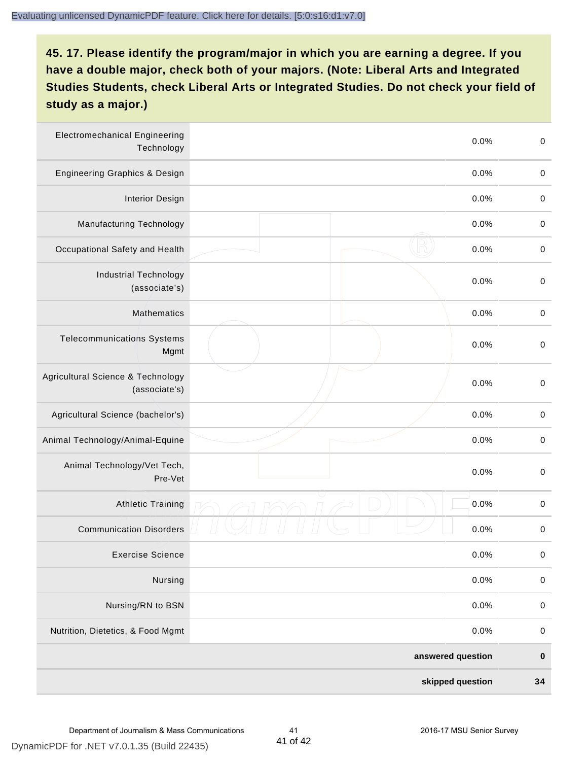| <b>Electromechanical Engineering</b><br>Technology |  | 0.0% | $\mathbf 0$ |
|----------------------------------------------------|--|------|-------------|
| <b>Engineering Graphics &amp; Design</b>           |  | 0.0% | $\mathbf 0$ |
| <b>Interior Design</b>                             |  | 0.0% | $\,0\,$     |
| Manufacturing Technology                           |  | 0.0% | $\,0\,$     |
| Occupational Safety and Health                     |  | 0.0% | $\pmb{0}$   |
| <b>Industrial Technology</b><br>(associate's)      |  | 0.0% | $\,0\,$     |
| <b>Mathematics</b>                                 |  | 0.0% | $\,0\,$     |
| <b>Telecommunications Systems</b><br>Mgmt          |  | 0.0% | $\,0\,$     |
| Agricultural Science & Technology<br>(associate's) |  | 0.0% | $\mathbf 0$ |
| Agricultural Science (bachelor's)                  |  | 0.0% | $\mathbf 0$ |
| Animal Technology/Animal-Equine                    |  | 0.0% | $\,0\,$     |
| Animal Technology/Vet Tech,<br>Pre-Vet             |  | 0.0% | $\,0\,$     |
| <b>Athletic Training</b>                           |  | 0.0% | $\,0\,$     |
| <b>Communication Disorders</b>                     |  | 0.0% | $\,0\,$     |
| <b>Exercise Science</b>                            |  | 0.0% | $\pmb{0}$   |
| Nursing                                            |  | 0.0% | $\mathbf 0$ |
| Nursing/RN to BSN                                  |  | 0.0% | $\pmb{0}$   |
| Nutrition, Dietetics, & Food Mgmt                  |  | 0.0% | $\,0\,$     |
| answered question                                  |  |      | $\pmb{0}$   |
| skipped question                                   |  |      | 34          |